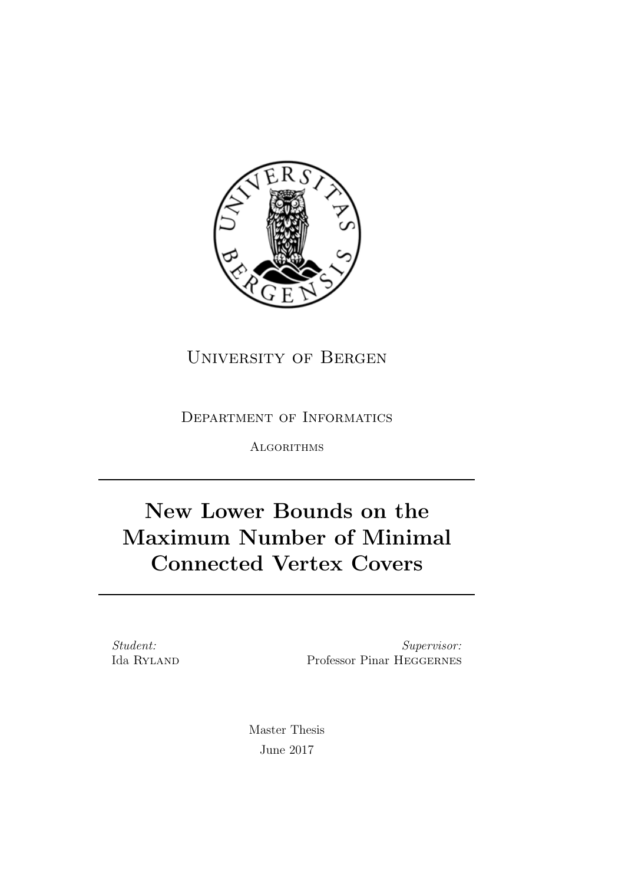

University of Bergen

Department of Informatics

**ALGORITHMS** 

## New Lower Bounds on the Maximum Number of Minimal Connected Vertex Covers

Student: Ida Ryland

Supervisor: Professor Pinar Heggernes

Master Thesis June 2017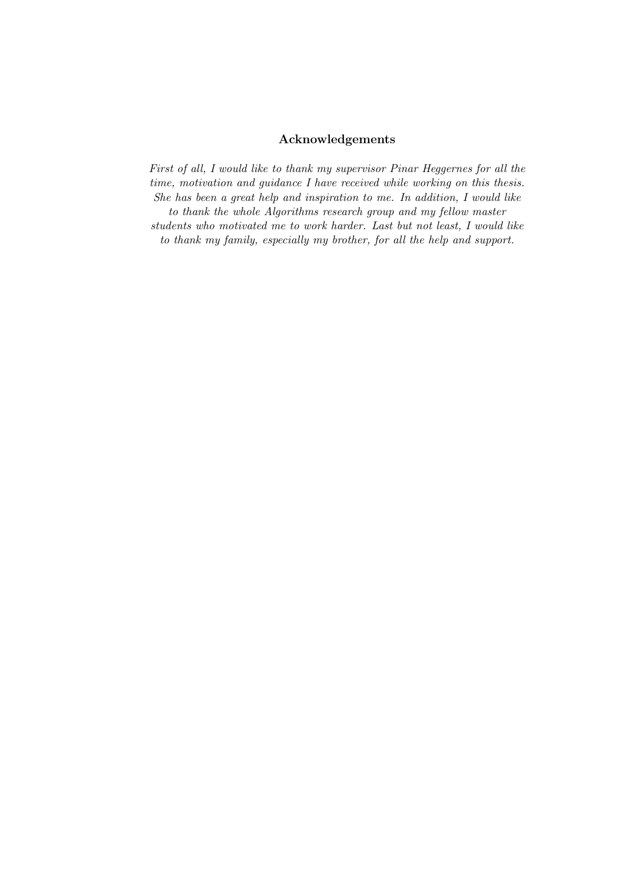#### Acknowledgements

First of all, I would like to thank my supervisor Pinar Heggernes for all the time, motivation and guidance I have received while working on this thesis. She has been a great help and inspiration to me. In addition, I would like to thank the whole Algorithms research group and my fellow master students who motivated me to work harder. Last but not least, I would like to thank my family, especially my brother, for all the help and support.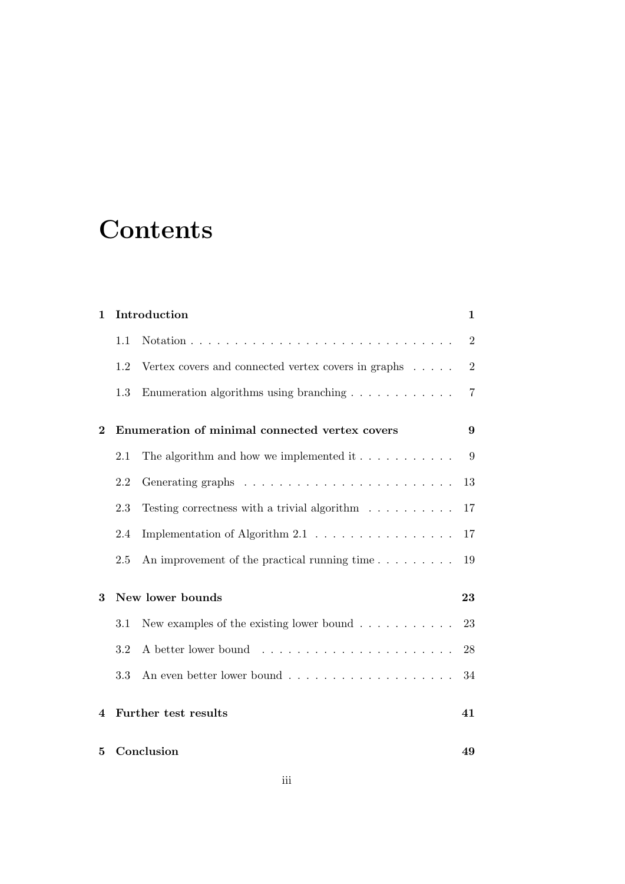# **Contents**

| $\mathbf{1}$ |     | Introduction                                                         | $\mathbf 1$    |
|--------------|-----|----------------------------------------------------------------------|----------------|
|              | 1.1 |                                                                      | $\overline{2}$ |
|              | 1.2 | Vertex covers and connected vertex covers in graphs $\ldots$ .       | $\overline{2}$ |
|              | 1.3 | Enumeration algorithms using branching $\ldots \ldots \ldots \ldots$ | $\overline{7}$ |
| $\bf{2}$     |     | Enumeration of minimal connected vertex covers                       | 9              |
|              | 2.1 | The algorithm and how we implemented it $\dots \dots \dots$          | 9              |
|              | 2.2 |                                                                      | 13             |
|              | 2.3 | Testing correctness with a trivial algorithm $\ldots \ldots \ldots$  | 17             |
|              | 2.4 | Implementation of Algorithm $2.1 \ldots \ldots \ldots \ldots \ldots$ | 17             |
|              | 2.5 | An improvement of the practical running time                         | 19             |
| 3            |     | New lower bounds                                                     | 23             |
|              | 3.1 | New examples of the existing lower bound $\ldots \ldots \ldots$      | 23             |
|              | 3.2 |                                                                      | 28             |
|              | 3.3 |                                                                      | 34             |
| 4            |     | Further test results                                                 | 41             |
| 5            |     | Conclusion                                                           | 49             |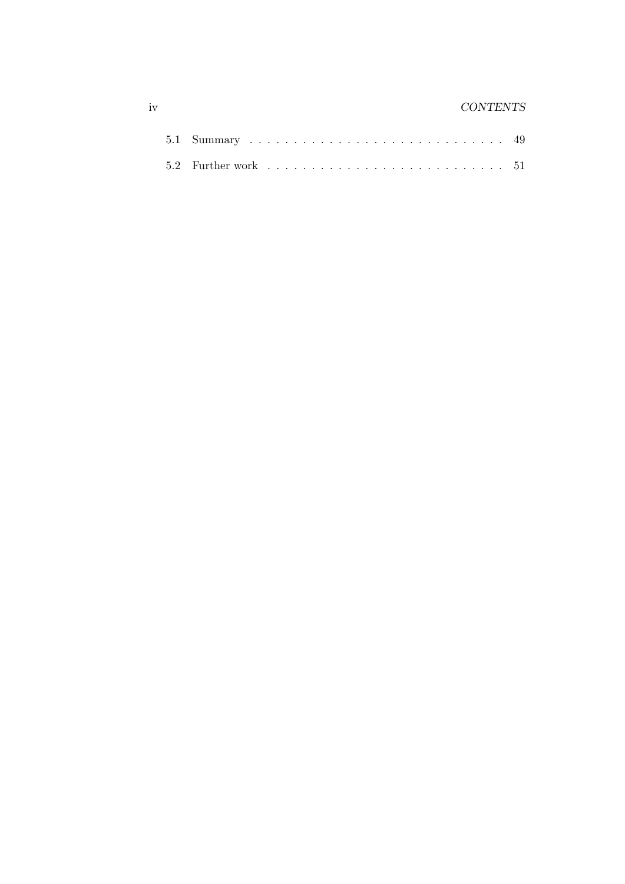#### iv CONTENTS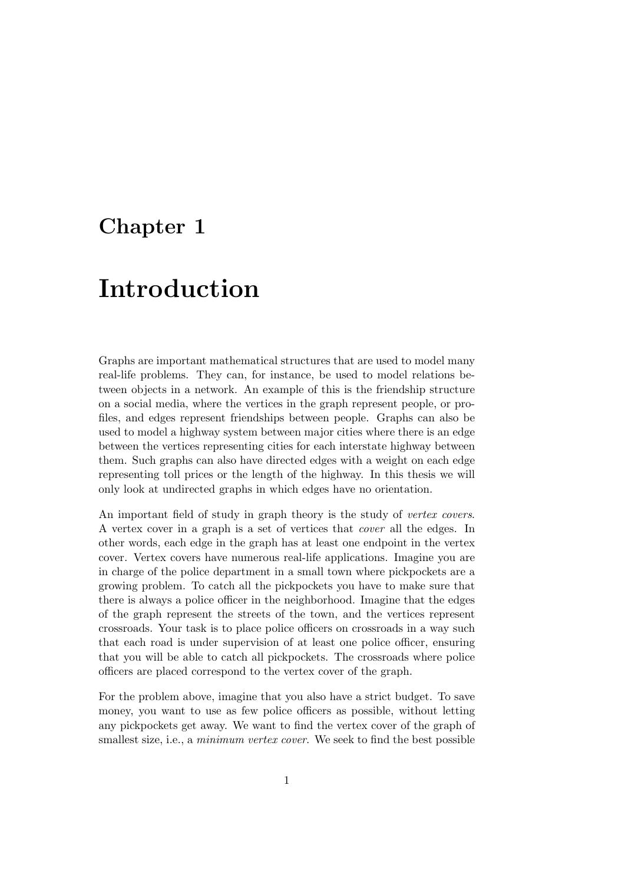### Chapter 1

## Introduction

Graphs are important mathematical structures that are used to model many real-life problems. They can, for instance, be used to model relations between objects in a network. An example of this is the friendship structure on a social media, where the vertices in the graph represent people, or profiles, and edges represent friendships between people. Graphs can also be used to model a highway system between major cities where there is an edge between the vertices representing cities for each interstate highway between them. Such graphs can also have directed edges with a weight on each edge representing toll prices or the length of the highway. In this thesis we will only look at undirected graphs in which edges have no orientation.

An important field of study in graph theory is the study of vertex covers. A vertex cover in a graph is a set of vertices that cover all the edges. In other words, each edge in the graph has at least one endpoint in the vertex cover. Vertex covers have numerous real-life applications. Imagine you are in charge of the police department in a small town where pickpockets are a growing problem. To catch all the pickpockets you have to make sure that there is always a police officer in the neighborhood. Imagine that the edges of the graph represent the streets of the town, and the vertices represent crossroads. Your task is to place police officers on crossroads in a way such that each road is under supervision of at least one police officer, ensuring that you will be able to catch all pickpockets. The crossroads where police officers are placed correspond to the vertex cover of the graph.

For the problem above, imagine that you also have a strict budget. To save money, you want to use as few police officers as possible, without letting any pickpockets get away. We want to find the vertex cover of the graph of smallest size, i.e., a *minimum vertex cover*. We seek to find the best possible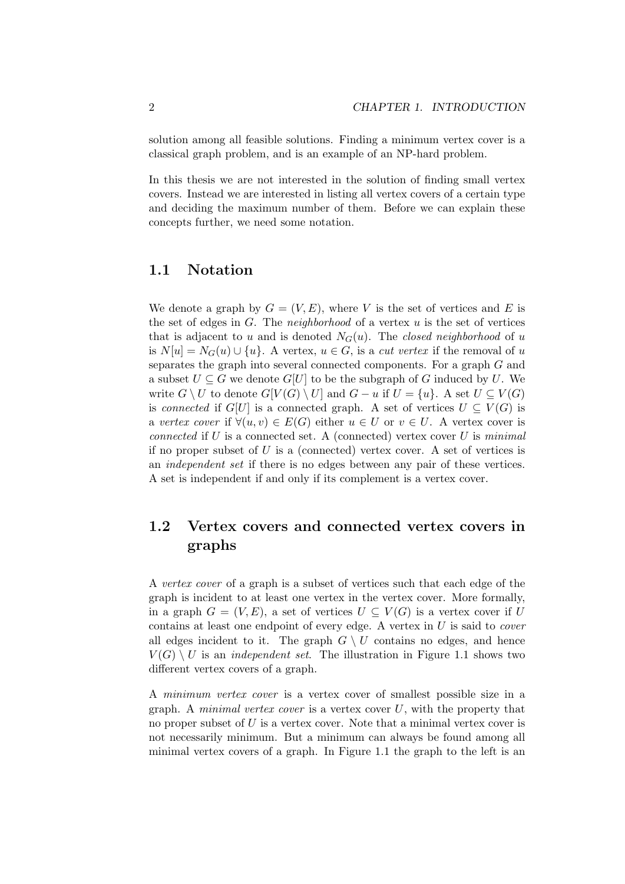solution among all feasible solutions. Finding a minimum vertex cover is a classical graph problem, and is an example of an NP-hard problem.

In this thesis we are not interested in the solution of finding small vertex covers. Instead we are interested in listing all vertex covers of a certain type and deciding the maximum number of them. Before we can explain these concepts further, we need some notation.

#### 1.1 Notation

We denote a graph by  $G = (V, E)$ , where V is the set of vertices and E is the set of edges in  $G$ . The *neighborhood* of a vertex  $u$  is the set of vertices that is adjacent to u and is denoted  $N_G(u)$ . The closed neighborhood of u is  $N[u] = N_G(u) \cup \{u\}$ . A vertex,  $u \in G$ , is a *cut vertex* if the removal of u separates the graph into several connected components. For a graph G and a subset  $U \subseteq G$  we denote  $G[U]$  to be the subgraph of G induced by U. We write  $G \setminus U$  to denote  $G[V(G) \setminus U]$  and  $G - u$  if  $U = \{u\}$ . A set  $U \subseteq V(G)$ is connected if  $G[U]$  is a connected graph. A set of vertices  $U \subseteq V(G)$  is a vertex cover if  $\forall (u, v) \in E(G)$  either  $u \in U$  or  $v \in U$ . A vertex cover is connected if  $U$  is a connected set. A (connected) vertex cover  $U$  is minimal if no proper subset of  $U$  is a (connected) vertex cover. A set of vertices is an independent set if there is no edges between any pair of these vertices. A set is independent if and only if its complement is a vertex cover.

### 1.2 Vertex covers and connected vertex covers in graphs

A vertex cover of a graph is a subset of vertices such that each edge of the graph is incident to at least one vertex in the vertex cover. More formally, in a graph  $G = (V, E)$ , a set of vertices  $U \subseteq V(G)$  is a vertex cover if U contains at least one endpoint of every edge. A vertex in  $U$  is said to *cover* all edges incident to it. The graph  $G \setminus U$  contains no edges, and hence  $V(G) \setminus U$  is an *independent set*. The illustration in Figure 1.1 shows two different vertex covers of a graph.

A minimum vertex cover is a vertex cover of smallest possible size in a graph. A *minimal vertex cover* is a vertex cover  $U$ , with the property that no proper subset of U is a vertex cover. Note that a minimal vertex cover is not necessarily minimum. But a minimum can always be found among all minimal vertex covers of a graph. In Figure 1.1 the graph to the left is an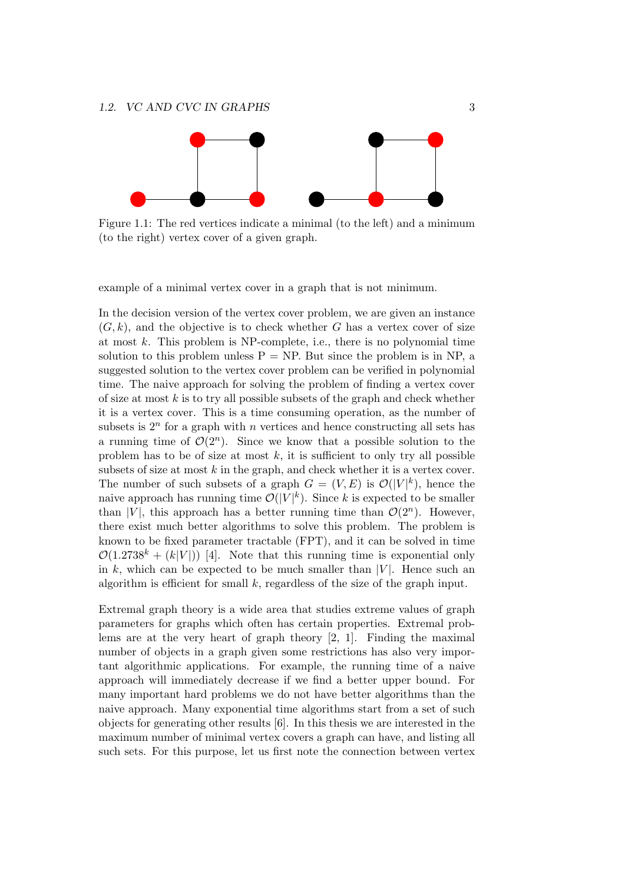

Figure 1.1: The red vertices indicate a minimal (to the left) and a minimum (to the right) vertex cover of a given graph.

example of a minimal vertex cover in a graph that is not minimum.

In the decision version of the vertex cover problem, we are given an instance  $(G, k)$ , and the objective is to check whether G has a vertex cover of size at most  $k$ . This problem is NP-complete, i.e., there is no polynomial time solution to this problem unless  $P = NP$ . But since the problem is in NP, a suggested solution to the vertex cover problem can be verified in polynomial time. The naive approach for solving the problem of finding a vertex cover of size at most  $k$  is to try all possible subsets of the graph and check whether it is a vertex cover. This is a time consuming operation, as the number of subsets is  $2^n$  for a graph with n vertices and hence constructing all sets has a running time of  $\mathcal{O}(2^n)$ . Since we know that a possible solution to the problem has to be of size at most  $k$ , it is sufficient to only try all possible subsets of size at most  $k$  in the graph, and check whether it is a vertex cover. The number of such subsets of a graph  $G = (V, E)$  is  $\mathcal{O}(|V|^k)$ , hence the naive approach has running time  $\mathcal{O}(|V|^k)$ . Since k is expected to be smaller than |V|, this approach has a better running time than  $\mathcal{O}(2^n)$ . However, there exist much better algorithms to solve this problem. The problem is known to be fixed parameter tractable (FPT), and it can be solved in time  $\mathcal{O}(1.2738^k + (k|V|))$  [4]. Note that this running time is exponential only in k, which can be expected to be much smaller than  $|V|$ . Hence such an algorithm is efficient for small  $k$ , regardless of the size of the graph input.

Extremal graph theory is a wide area that studies extreme values of graph parameters for graphs which often has certain properties. Extremal problems are at the very heart of graph theory [2, 1]. Finding the maximal number of objects in a graph given some restrictions has also very important algorithmic applications. For example, the running time of a naive approach will immediately decrease if we find a better upper bound. For many important hard problems we do not have better algorithms than the naive approach. Many exponential time algorithms start from a set of such objects for generating other results [6]. In this thesis we are interested in the maximum number of minimal vertex covers a graph can have, and listing all such sets. For this purpose, let us first note the connection between vertex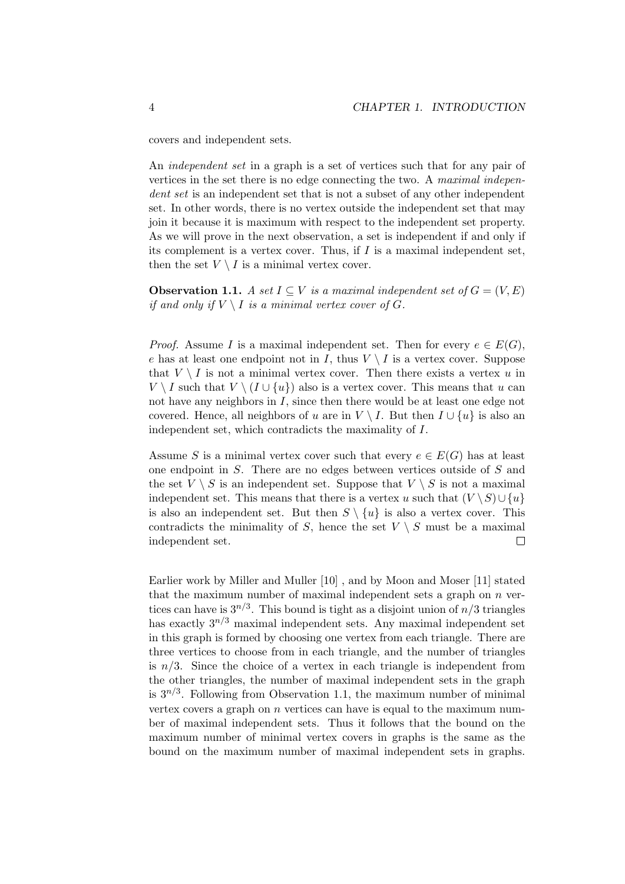covers and independent sets.

An independent set in a graph is a set of vertices such that for any pair of vertices in the set there is no edge connecting the two. A maximal independent set is an independent set that is not a subset of any other independent set. In other words, there is no vertex outside the independent set that may join it because it is maximum with respect to the independent set property. As we will prove in the next observation, a set is independent if and only if its complement is a vertex cover. Thus, if  $I$  is a maximal independent set, then the set  $V \setminus I$  is a minimal vertex cover.

**Observation 1.1.** A set  $I \subseteq V$  is a maximal independent set of  $G = (V, E)$ if and only if  $V \setminus I$  is a minimal vertex cover of G.

*Proof.* Assume I is a maximal independent set. Then for every  $e \in E(G)$ , e has at least one endpoint not in I, thus  $V \setminus I$  is a vertex cover. Suppose that  $V \setminus I$  is not a minimal vertex cover. Then there exists a vertex u in  $V \setminus I$  such that  $V \setminus (I \cup \{u\})$  also is a vertex cover. This means that u can not have any neighbors in I, since then there would be at least one edge not covered. Hence, all neighbors of u are in  $V \setminus I$ . But then  $I \cup \{u\}$  is also an independent set, which contradicts the maximality of I.

Assume S is a minimal vertex cover such that every  $e \in E(G)$  has at least one endpoint in S. There are no edges between vertices outside of S and the set  $V \setminus S$  is an independent set. Suppose that  $V \setminus S$  is not a maximal independent set. This means that there is a vertex u such that  $(V \setminus S) \cup \{u\}$ is also an independent set. But then  $S \setminus \{u\}$  is also a vertex cover. This contradicts the minimality of S, hence the set  $V \setminus S$  must be a maximal independent set.  $\Box$ 

Earlier work by Miller and Muller [10] , and by Moon and Moser [11] stated that the maximum number of maximal independent sets a graph on  $n$  vertices can have is  $3^{n/3}$ . This bound is tight as a disjoint union of  $n/3$  triangles has exactly  $3^{n/3}$  maximal independent sets. Any maximal independent set in this graph is formed by choosing one vertex from each triangle. There are three vertices to choose from in each triangle, and the number of triangles is  $n/3$ . Since the choice of a vertex in each triangle is independent from the other triangles, the number of maximal independent sets in the graph is  $3^{n/3}$ . Following from Observation 1.1, the maximum number of minimal vertex covers a graph on  $n$  vertices can have is equal to the maximum number of maximal independent sets. Thus it follows that the bound on the maximum number of minimal vertex covers in graphs is the same as the bound on the maximum number of maximal independent sets in graphs.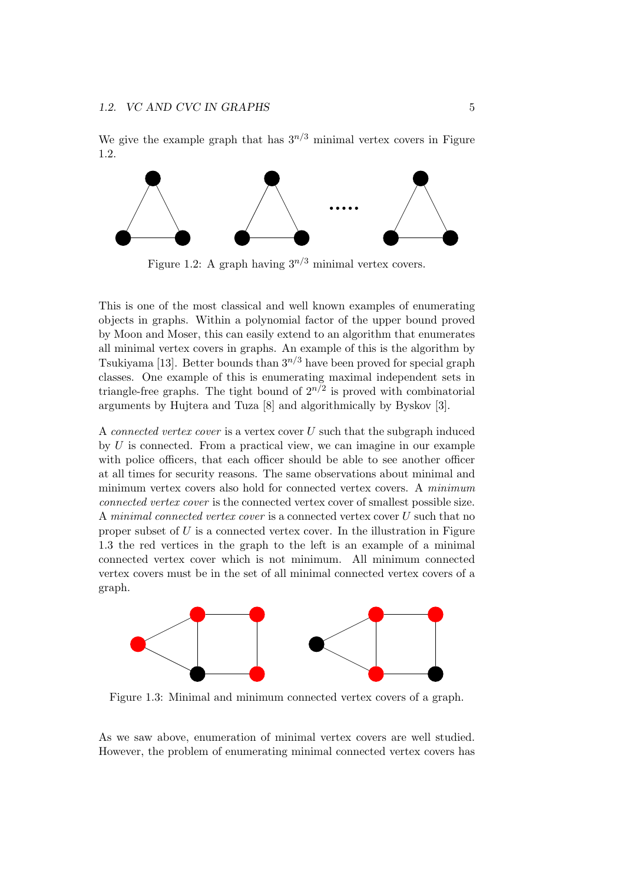We give the example graph that has  $3^{n/3}$  minimal vertex covers in Figure 1.2.



Figure 1.2: A graph having  $3^{n/3}$  minimal vertex covers.

This is one of the most classical and well known examples of enumerating objects in graphs. Within a polynomial factor of the upper bound proved by Moon and Moser, this can easily extend to an algorithm that enumerates all minimal vertex covers in graphs. An example of this is the algorithm by Tsukiyama [13]. Better bounds than  $3^{n/3}$  have been proved for special graph classes. One example of this is enumerating maximal independent sets in triangle-free graphs. The tight bound of  $2^{n/2}$  is proved with combinatorial arguments by Hujtera and Tuza [8] and algorithmically by Byskov [3].

A connected vertex cover is a vertex cover U such that the subgraph induced by  $U$  is connected. From a practical view, we can imagine in our example with police officers, that each officer should be able to see another officer at all times for security reasons. The same observations about minimal and minimum vertex covers also hold for connected vertex covers. A minimum connected vertex cover is the connected vertex cover of smallest possible size. A minimal connected vertex cover is a connected vertex cover U such that no proper subset of  $U$  is a connected vertex cover. In the illustration in Figure 1.3 the red vertices in the graph to the left is an example of a minimal connected vertex cover which is not minimum. All minimum connected vertex covers must be in the set of all minimal connected vertex covers of a graph.



Figure 1.3: Minimal and minimum connected vertex covers of a graph.

As we saw above, enumeration of minimal vertex covers are well studied. However, the problem of enumerating minimal connected vertex covers has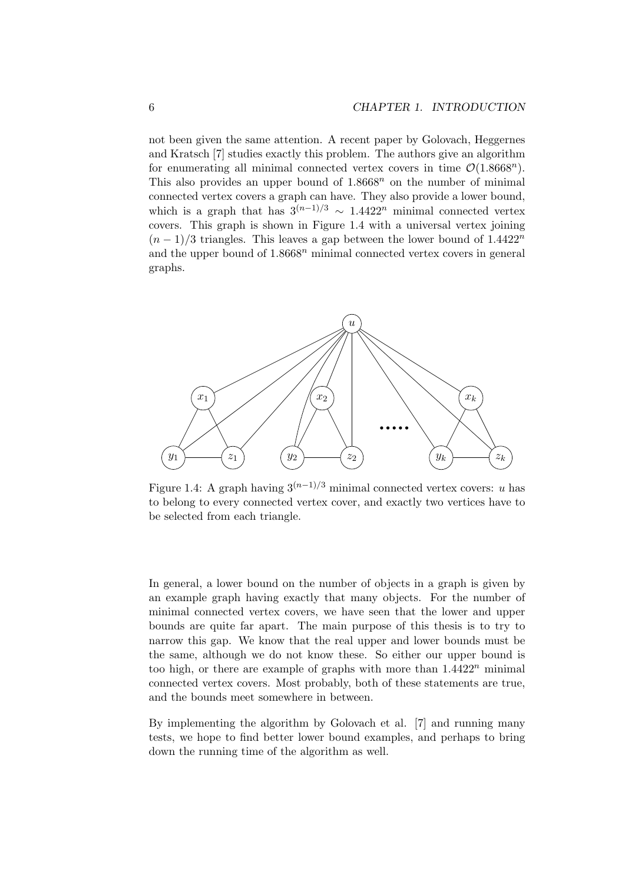not been given the same attention. A recent paper by Golovach, Heggernes and Kratsch [7] studies exactly this problem. The authors give an algorithm for enumerating all minimal connected vertex covers in time  $\mathcal{O}(1.8668^n)$ . This also provides an upper bound of  $1.8668<sup>n</sup>$  on the number of minimal connected vertex covers a graph can have. They also provide a lower bound, which is a graph that has  $3^{(n-1)/3} \sim 1.4422^n$  minimal connected vertex covers. This graph is shown in Figure 1.4 with a universal vertex joining  $(n-1)/3$  triangles. This leaves a gap between the lower bound of 1.4422<sup>n</sup> and the upper bound of  $1.8668<sup>n</sup>$  minimal connected vertex covers in general graphs.



Figure 1.4: A graph having  $3^{(n-1)/3}$  minimal connected vertex covers: u has to belong to every connected vertex cover, and exactly two vertices have to be selected from each triangle.

In general, a lower bound on the number of objects in a graph is given by an example graph having exactly that many objects. For the number of minimal connected vertex covers, we have seen that the lower and upper bounds are quite far apart. The main purpose of this thesis is to try to narrow this gap. We know that the real upper and lower bounds must be the same, although we do not know these. So either our upper bound is too high, or there are example of graphs with more than  $1.4422^n$  minimal connected vertex covers. Most probably, both of these statements are true, and the bounds meet somewhere in between.

By implementing the algorithm by Golovach et al. [7] and running many tests, we hope to find better lower bound examples, and perhaps to bring down the running time of the algorithm as well.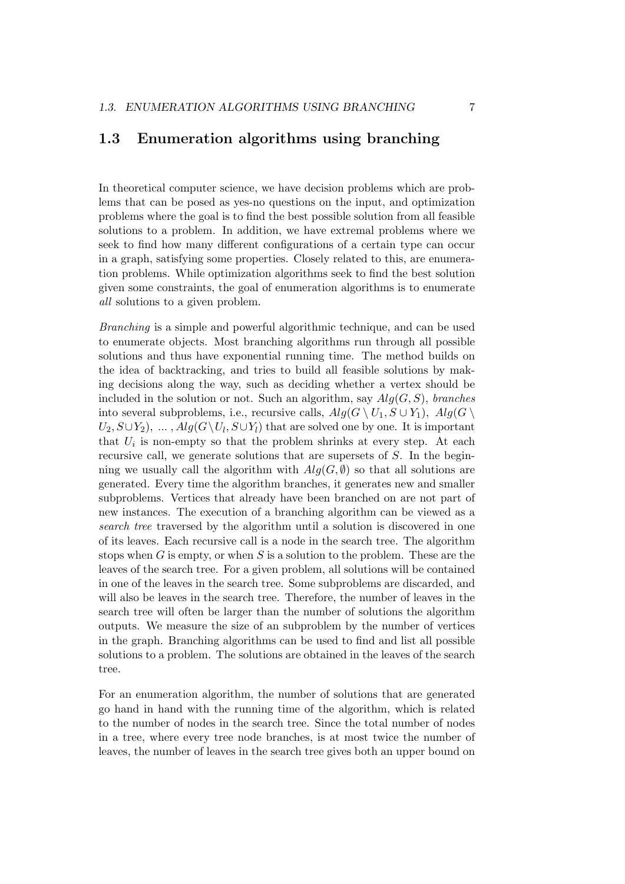#### 1.3 Enumeration algorithms using branching

In theoretical computer science, we have decision problems which are problems that can be posed as yes-no questions on the input, and optimization problems where the goal is to find the best possible solution from all feasible solutions to a problem. In addition, we have extremal problems where we seek to find how many different configurations of a certain type can occur in a graph, satisfying some properties. Closely related to this, are enumeration problems. While optimization algorithms seek to find the best solution given some constraints, the goal of enumeration algorithms is to enumerate all solutions to a given problem.

Branching is a simple and powerful algorithmic technique, and can be used to enumerate objects. Most branching algorithms run through all possible solutions and thus have exponential running time. The method builds on the idea of backtracking, and tries to build all feasible solutions by making decisions along the way, such as deciding whether a vertex should be included in the solution or not. Such an algorithm, say  $Alg(G, S)$ , branches into several subproblems, i.e., recursive calls,  $Alg(G \setminus U_1, S \cup Y_1)$ ,  $Alg(G \setminus$  $U_2, S \cup Y_2$ , ...,  $Alg(G \setminus U_l, S \cup Y_l)$  that are solved one by one. It is important that  $U_i$  is non-empty so that the problem shrinks at every step. At each recursive call, we generate solutions that are supersets of S. In the beginning we usually call the algorithm with  $Alg(G, \emptyset)$  so that all solutions are generated. Every time the algorithm branches, it generates new and smaller subproblems. Vertices that already have been branched on are not part of new instances. The execution of a branching algorithm can be viewed as a search tree traversed by the algorithm until a solution is discovered in one of its leaves. Each recursive call is a node in the search tree. The algorithm stops when G is empty, or when S is a solution to the problem. These are the leaves of the search tree. For a given problem, all solutions will be contained in one of the leaves in the search tree. Some subproblems are discarded, and will also be leaves in the search tree. Therefore, the number of leaves in the search tree will often be larger than the number of solutions the algorithm outputs. We measure the size of an subproblem by the number of vertices in the graph. Branching algorithms can be used to find and list all possible solutions to a problem. The solutions are obtained in the leaves of the search tree.

For an enumeration algorithm, the number of solutions that are generated go hand in hand with the running time of the algorithm, which is related to the number of nodes in the search tree. Since the total number of nodes in a tree, where every tree node branches, is at most twice the number of leaves, the number of leaves in the search tree gives both an upper bound on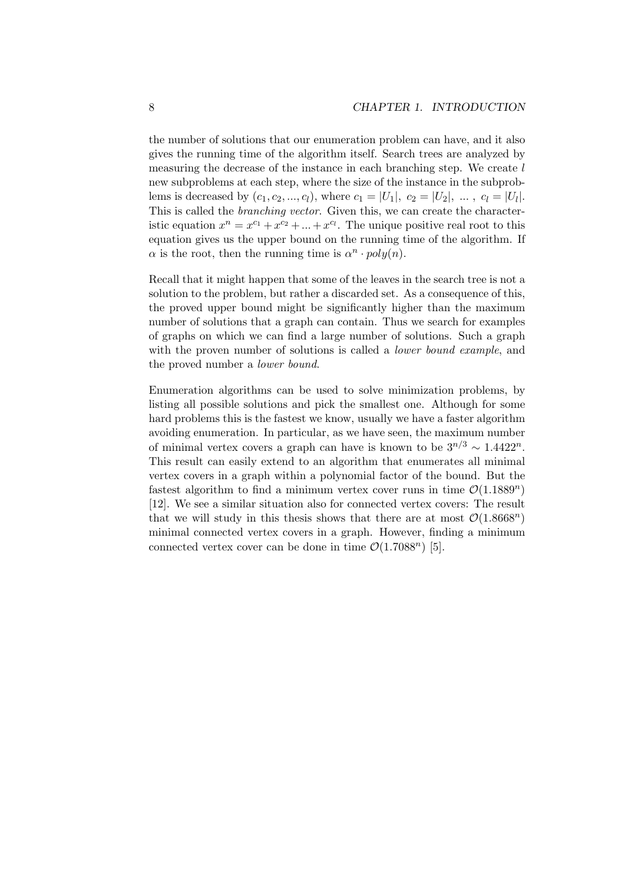the number of solutions that our enumeration problem can have, and it also gives the running time of the algorithm itself. Search trees are analyzed by measuring the decrease of the instance in each branching step. We create l new subproblems at each step, where the size of the instance in the subproblems is decreased by  $(c_1, c_2, ..., c_l)$ , where  $c_1 = |U_1|, c_2 = |U_2|, ..., c_l = |U_l|$ . This is called the branching vector. Given this, we can create the characteristic equation  $x^n = x^{c_1} + x^{c_2} + ... + x^{c_l}$ . The unique positive real root to this equation gives us the upper bound on the running time of the algorithm. If  $\alpha$  is the root, then the running time is  $\alpha^n \cdot poly(n)$ .

Recall that it might happen that some of the leaves in the search tree is not a solution to the problem, but rather a discarded set. As a consequence of this, the proved upper bound might be significantly higher than the maximum number of solutions that a graph can contain. Thus we search for examples of graphs on which we can find a large number of solutions. Such a graph with the proven number of solutions is called a *lower bound example*, and the proved number a lower bound.

Enumeration algorithms can be used to solve minimization problems, by listing all possible solutions and pick the smallest one. Although for some hard problems this is the fastest we know, usually we have a faster algorithm avoiding enumeration. In particular, as we have seen, the maximum number of minimal vertex covers a graph can have is known to be  $3^{n/3} \sim 1.4422^n$ . This result can easily extend to an algorithm that enumerates all minimal vertex covers in a graph within a polynomial factor of the bound. But the fastest algorithm to find a minimum vertex cover runs in time  $\mathcal{O}(1.1889^n)$ [12]. We see a similar situation also for connected vertex covers: The result that we will study in this thesis shows that there are at most  $\mathcal{O}(1.8668^n)$ minimal connected vertex covers in a graph. However, finding a minimum connected vertex cover can be done in time  $\mathcal{O}(1.7088^n)$  [5].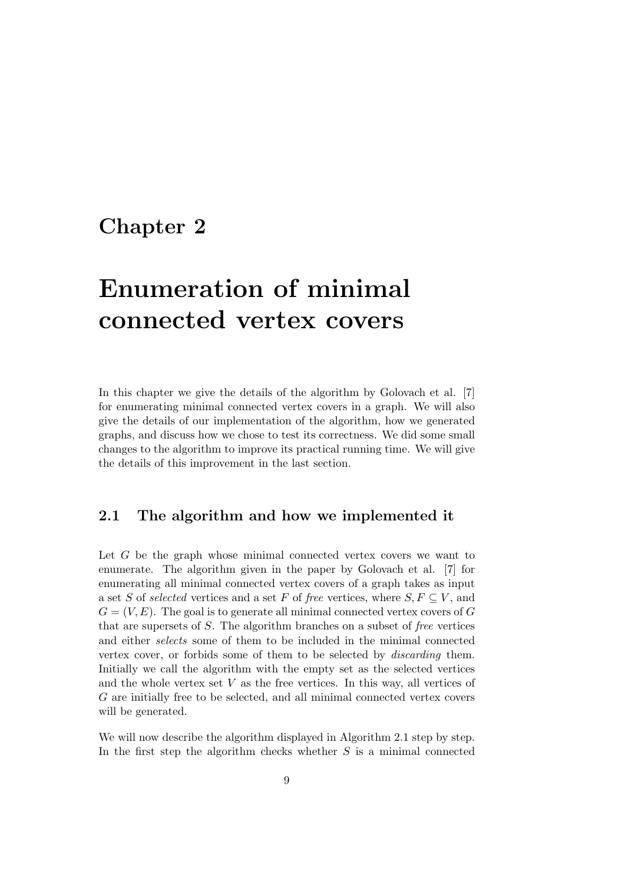### Chapter 2

# Enumeration of minimal connected vertex covers

In this chapter we give the details of the algorithm by Golovach et al. [7] for enumerating minimal connected vertex covers in a graph. We will also give the details of our implementation of the algorithm, how we generated graphs, and discuss how we chose to test its correctness. We did some small changes to the algorithm to improve its practical running time. We will give the details of this improvement in the last section.

### 2.1 The algorithm and how we implemented it

Let G be the graph whose minimal connected vertex covers we want to enumerate. The algorithm given in the paper by Golovach et al. [7] for enumerating all minimal connected vertex covers of a graph takes as input a set S of selected vertices and a set F of free vertices, where  $S, F \subseteq V$ , and  $G = (V, E)$ . The goal is to generate all minimal connected vertex covers of G that are supersets of S. The algorithm branches on a subset of free vertices and either selects some of them to be included in the minimal connected vertex cover, or forbids some of them to be selected by discarding them. Initially we call the algorithm with the empty set as the selected vertices and the whole vertex set  $V$  as the free vertices. In this way, all vertices of G are initially free to be selected, and all minimal connected vertex covers will be generated.

We will now describe the algorithm displayed in Algorithm 2.1 step by step. In the first step the algorithm checks whether  $S$  is a minimal connected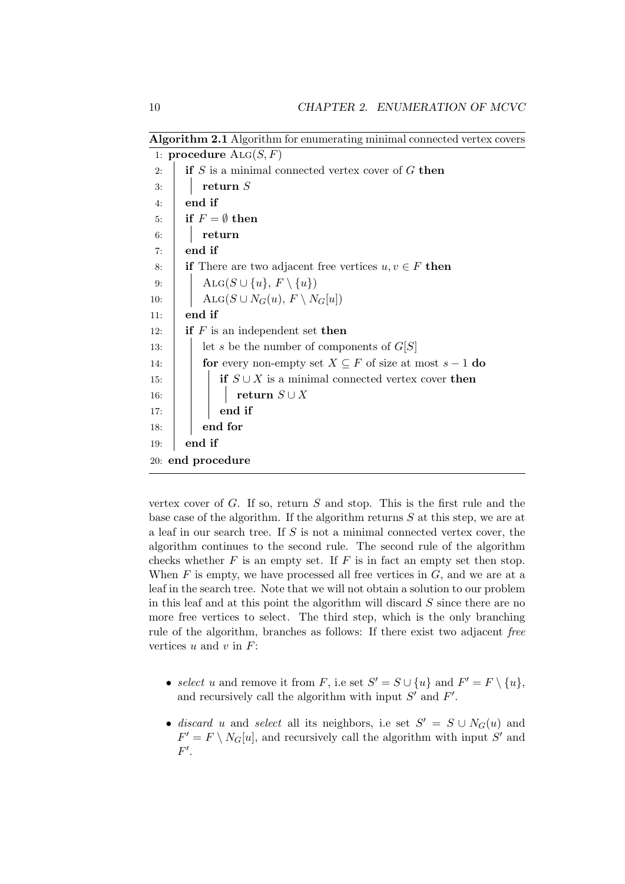Algorithm 2.1 Algorithm for enumerating minimal connected vertex covers

|     | 1: procedure $\text{ALG}(S, F)$                                    |
|-----|--------------------------------------------------------------------|
| 2:  | if $S$ is a minimal connected vertex cover of $G$ then             |
| 3:  | return $S$                                                         |
| 4:  | end if                                                             |
| 5:  | if $F = \emptyset$ then                                            |
| 6:  | return                                                             |
| 7:  | end if                                                             |
| 8:  | <b>if</b> There are two adjacent free vertices $u, v \in F$ then   |
| 9:  | $\text{Alg}(S \cup \{u\}, F \setminus \{u\})$                      |
| 10: | $\text{Alg}(S \cup N_G(u), F \setminus N_G[u])$                    |
| 11: | end if                                                             |
| 12: | <b>if</b> $F$ is an independent set <b>then</b>                    |
| 13: | let s be the number of components of $G[S]$                        |
| 14: | for every non-empty set $X \subseteq F$ of size at most $s - 1$ do |
| 15: | <b>if</b> $S \cup X$ is a minimal connected vertex cover then      |
| 16: | return $S \cup X$                                                  |
| 17: | end if                                                             |
| 18: | end for                                                            |
| 19: | end if                                                             |
|     | 20: end procedure                                                  |

vertex cover of  $G$ . If so, return  $S$  and stop. This is the first rule and the base case of the algorithm. If the algorithm returns S at this step, we are at a leaf in our search tree. If S is not a minimal connected vertex cover, the algorithm continues to the second rule. The second rule of the algorithm checks whether  $F$  is an empty set. If  $F$  is in fact an empty set then stop. When  $F$  is empty, we have processed all free vertices in  $G$ , and we are at a leaf in the search tree. Note that we will not obtain a solution to our problem in this leaf and at this point the algorithm will discard  $S$  since there are no more free vertices to select. The third step, which is the only branching rule of the algorithm, branches as follows: If there exist two adjacent free vertices  $u$  and  $v$  in  $F$ :

- select u and remove it from F, i.e set  $S' = S \cup \{u\}$  and  $F' = F \setminus \{u\}$ , and recursively call the algorithm with input  $S'$  and  $F'$ .
- discard u and select all its neighbors, i.e set  $S' = S \cup N_G(u)$  and  $F' = F \setminus N_G[u]$ , and recursively call the algorithm with input S' and  $F'.$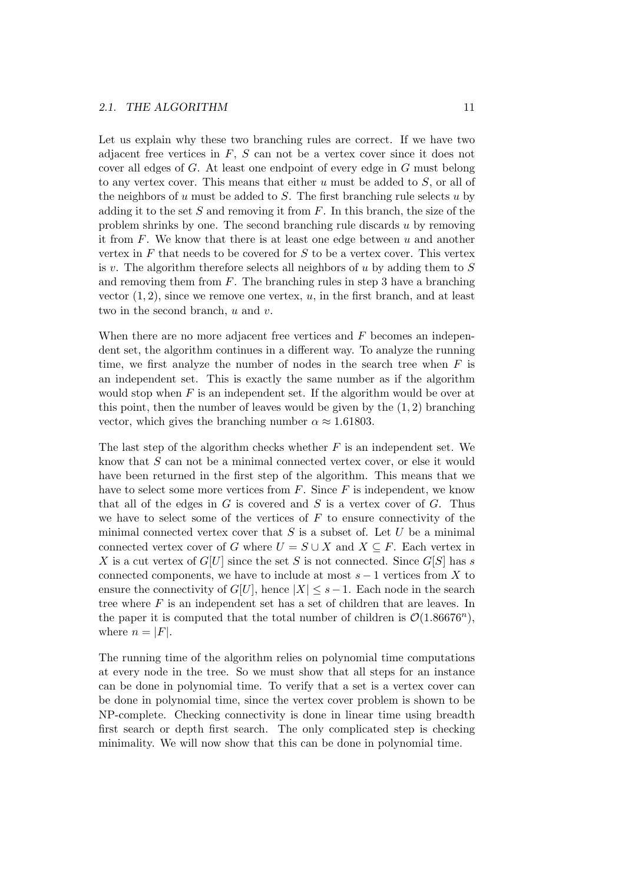Let us explain why these two branching rules are correct. If we have two adjacent free vertices in  $F$ ,  $S$  can not be a vertex cover since it does not cover all edges of G. At least one endpoint of every edge in G must belong to any vertex cover. This means that either  $u$  must be added to  $S$ , or all of the neighbors of u must be added to S. The first branching rule selects u by adding it to the set  $S$  and removing it from  $F$ . In this branch, the size of the problem shrinks by one. The second branching rule discards  $u$  by removing it from  $F$ . We know that there is at least one edge between  $u$  and another vertex in  $F$  that needs to be covered for  $S$  to be a vertex cover. This vertex is v. The algorithm therefore selects all neighbors of u by adding them to  $S$ and removing them from  $F$ . The branching rules in step 3 have a branching vector  $(1, 2)$ , since we remove one vertex, u, in the first branch, and at least two in the second branch,  $u$  and  $v$ .

When there are no more adjacent free vertices and  $F$  becomes an independent set, the algorithm continues in a different way. To analyze the running time, we first analyze the number of nodes in the search tree when  $F$  is an independent set. This is exactly the same number as if the algorithm would stop when  $F$  is an independent set. If the algorithm would be over at this point, then the number of leaves would be given by the  $(1, 2)$  branching vector, which gives the branching number  $\alpha \approx 1.61803$ .

The last step of the algorithm checks whether  $F$  is an independent set. We know that S can not be a minimal connected vertex cover, or else it would have been returned in the first step of the algorithm. This means that we have to select some more vertices from  $F$ . Since  $F$  is independent, we know that all of the edges in  $G$  is covered and  $S$  is a vertex cover of  $G$ . Thus we have to select some of the vertices of  $F$  to ensure connectivity of the minimal connected vertex cover that  $S$  is a subset of. Let  $U$  be a minimal connected vertex cover of G where  $U = S \cup X$  and  $X \subseteq F$ . Each vertex in X is a cut vertex of  $G[U]$  since the set S is not connected. Since  $G[S]$  has s connected components, we have to include at most  $s - 1$  vertices from X to ensure the connectivity of  $G[U]$ , hence  $|X| \leq s-1$ . Each node in the search tree where F is an independent set has a set of children that are leaves. In the paper it is computed that the total number of children is  $\mathcal{O}(1.86676^n)$ , where  $n = |F|$ .

The running time of the algorithm relies on polynomial time computations at every node in the tree. So we must show that all steps for an instance can be done in polynomial time. To verify that a set is a vertex cover can be done in polynomial time, since the vertex cover problem is shown to be NP-complete. Checking connectivity is done in linear time using breadth first search or depth first search. The only complicated step is checking minimality. We will now show that this can be done in polynomial time.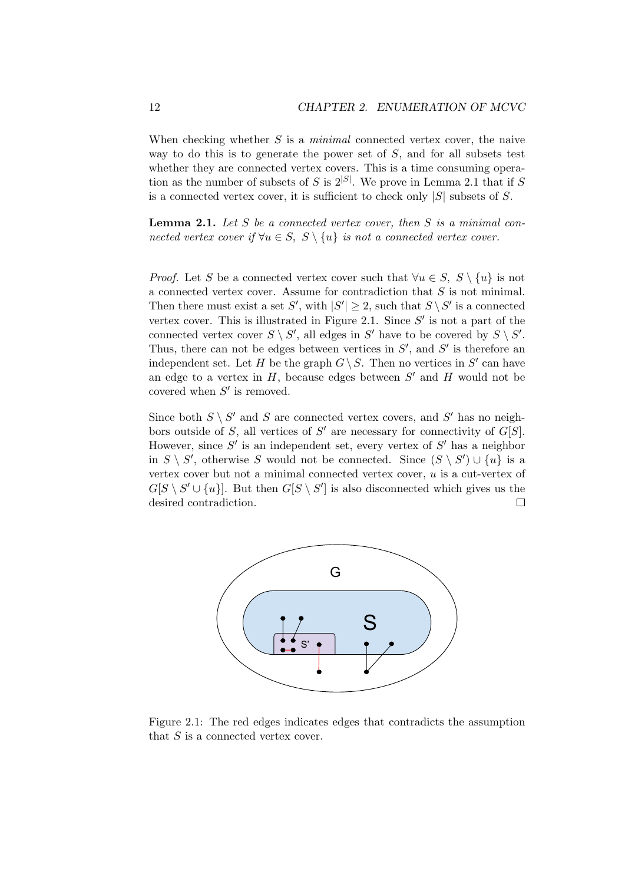When checking whether  $S$  is a *minimal* connected vertex cover, the naive way to do this is to generate the power set of S, and for all subsets test whether they are connected vertex covers. This is a time consuming operation as the number of subsets of S is  $2^{|S|}$ . We prove in Lemma 2.1 that if S is a connected vertex cover, it is sufficient to check only  $|S|$  subsets of S.

**Lemma 2.1.** Let  $S$  be a connected vertex cover, then  $S$  is a minimal connected vertex cover if  $\forall u \in S$ ,  $S \setminus \{u\}$  is not a connected vertex cover.

*Proof.* Let S be a connected vertex cover such that  $\forall u \in S$ ,  $S \setminus \{u\}$  is not a connected vertex cover. Assume for contradiction that S is not minimal. Then there must exist a set S', with  $|S'| \geq 2$ , such that  $S \setminus S'$  is a connected vertex cover. This is illustrated in Figure 2.1. Since  $S'$  is not a part of the connected vertex cover  $S \setminus S'$ , all edges in S' have to be covered by  $S \setminus S'$ . Thus, there can not be edges between vertices in  $S'$ , and  $S'$  is therefore an independent set. Let H be the graph  $G \setminus S$ . Then no vertices in S' can have an edge to a vertex in  $H$ , because edges between  $S'$  and  $H$  would not be covered when  $S'$  is removed.

Since both  $S \setminus S'$  and S are connected vertex covers, and S' has no neighbors outside of S, all vertices of  $S'$  are necessary for connectivity of  $G[S]$ . However, since  $S'$  is an independent set, every vertex of  $S'$  has a neighbor in  $S \setminus S'$ , otherwise S would not be connected. Since  $(S \setminus S') \cup \{u\}$  is a vertex cover but not a minimal connected vertex cover, u is a cut-vertex of  $G[S \setminus S' \cup \{u\}]$ . But then  $G[S \setminus S']$  is also disconnected which gives us the desired contradiction.  $\Box$ 



Figure 2.1: The red edges indicates edges that contradicts the assumption that  $S$  is a connected vertex cover.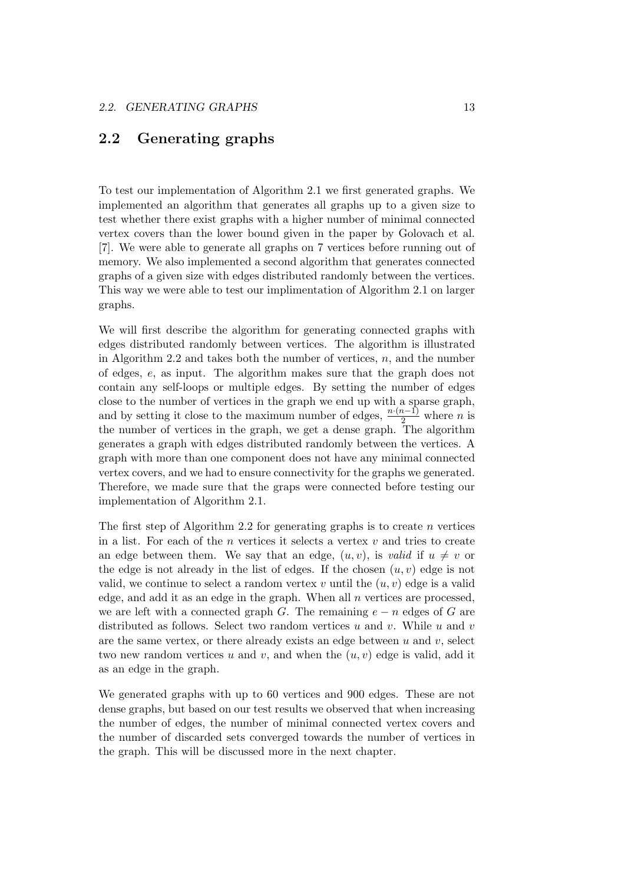#### 2.2 Generating graphs

To test our implementation of Algorithm 2.1 we first generated graphs. We implemented an algorithm that generates all graphs up to a given size to test whether there exist graphs with a higher number of minimal connected vertex covers than the lower bound given in the paper by Golovach et al. [7]. We were able to generate all graphs on 7 vertices before running out of memory. We also implemented a second algorithm that generates connected graphs of a given size with edges distributed randomly between the vertices. This way we were able to test our implimentation of Algorithm 2.1 on larger graphs.

We will first describe the algorithm for generating connected graphs with edges distributed randomly between vertices. The algorithm is illustrated in Algorithm 2.2 and takes both the number of vertices,  $n$ , and the number of edges, e, as input. The algorithm makes sure that the graph does not contain any self-loops or multiple edges. By setting the number of edges close to the number of vertices in the graph we end up with a sparse graph, and by setting it close to the maximum number of edges,  $\frac{n \cdot (n-1)}{2}$  where *n* is the number of vertices in the graph, we get a dense graph. The algorithm generates a graph with edges distributed randomly between the vertices. A graph with more than one component does not have any minimal connected vertex covers, and we had to ensure connectivity for the graphs we generated. Therefore, we made sure that the graps were connected before testing our implementation of Algorithm 2.1.

The first step of Algorithm 2.2 for generating graphs is to create  $n$  vertices in a list. For each of the n vertices it selects a vertex  $v$  and tries to create an edge between them. We say that an edge,  $(u, v)$ , is valid if  $u \neq v$  or the edge is not already in the list of edges. If the chosen  $(u, v)$  edge is not valid, we continue to select a random vertex v until the  $(u, v)$  edge is a valid edge, and add it as an edge in the graph. When all  $n$  vertices are processed, we are left with a connected graph G. The remaining  $e - n$  edges of G are distributed as follows. Select two random vertices  $u$  and  $v$ . While  $u$  and  $v$ are the same vertex, or there already exists an edge between  $u$  and  $v$ , select two new random vertices u and v, and when the  $(u, v)$  edge is valid, add it as an edge in the graph.

We generated graphs with up to 60 vertices and 900 edges. These are not dense graphs, but based on our test results we observed that when increasing the number of edges, the number of minimal connected vertex covers and the number of discarded sets converged towards the number of vertices in the graph. This will be discussed more in the next chapter.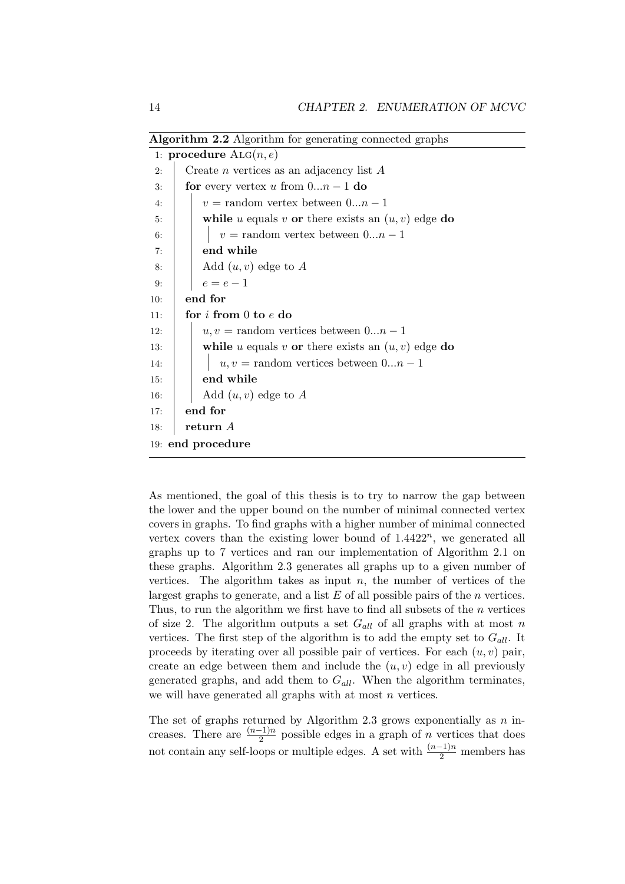|                                 | <i>A</i> ASOTIVIIIII 2.2 AISOTIVIIIII IOI SUIUTAVIIIS COIIIICUCU STAPIID |  |  |  |
|---------------------------------|--------------------------------------------------------------------------|--|--|--|
| 1: procedure $\text{ALG}(n, e)$ |                                                                          |  |  |  |
| 2:                              | Create <i>n</i> vertices as an adjacency list $A$                        |  |  |  |
| 3:                              | <b>for</b> every vertex u from $0n-1$ <b>do</b>                          |  |  |  |
| 4:                              | $v =$ random vertex between $0n-1$                                       |  |  |  |
| 5:                              | while u equals v or there exists an $(u, v)$ edge do                     |  |  |  |
| 6:                              | $v =$ random vertex between $0n - 1$                                     |  |  |  |
| 7:                              | end while                                                                |  |  |  |
| 8:                              | Add $(u, v)$ edge to A                                                   |  |  |  |
| 9:                              | $e=e-1$                                                                  |  |  |  |
| 10:                             | end for                                                                  |  |  |  |
| 11:                             | for $i$ from $0$ to $e$ do                                               |  |  |  |
| 12:                             | $u, v =$ random vertices between $0n-1$                                  |  |  |  |
| 13:                             | while u equals v or there exists an $(u, v)$ edge do                     |  |  |  |
| 14:                             | $u, v =$ random vertices between $0n-1$                                  |  |  |  |
| 15:                             | end while                                                                |  |  |  |
| 16:                             | Add $(u, v)$ edge to A                                                   |  |  |  |
| 17:                             | end for                                                                  |  |  |  |
| 18:                             | return A                                                                 |  |  |  |
| 19: end procedure               |                                                                          |  |  |  |
|                                 |                                                                          |  |  |  |

Algorithm 2.2 Algorithm for generating connected graphs

As mentioned, the goal of this thesis is to try to narrow the gap between the lower and the upper bound on the number of minimal connected vertex covers in graphs. To find graphs with a higher number of minimal connected vertex covers than the existing lower bound of  $1.4422^n$ , we generated all graphs up to 7 vertices and ran our implementation of Algorithm 2.1 on these graphs. Algorithm 2.3 generates all graphs up to a given number of vertices. The algorithm takes as input  $n$ , the number of vertices of the largest graphs to generate, and a list  $E$  of all possible pairs of the  $n$  vertices. Thus, to run the algorithm we first have to find all subsets of the n vertices of size 2. The algorithm outputs a set  $G_{all}$  of all graphs with at most n vertices. The first step of the algorithm is to add the empty set to  $G_{all}$ . It proceeds by iterating over all possible pair of vertices. For each  $(u, v)$  pair, create an edge between them and include the  $(u, v)$  edge in all previously generated graphs, and add them to  $G_{all}$ . When the algorithm terminates, we will have generated all graphs with at most  $n$  vertices.

The set of graphs returned by Algorithm 2.3 grows exponentially as  $n$  increases. There are  $\frac{(n-1)n}{2}$  possible edges in a graph of n vertices that does not contain any self-loops or multiple edges. A set with  $\frac{(n-1)n}{2}$  members has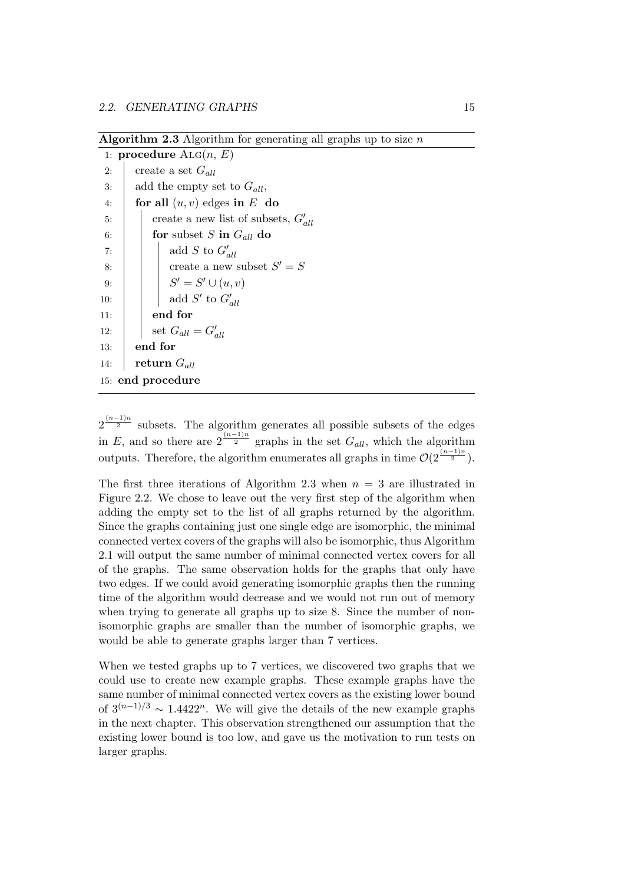Algorithm 2.3 Algorithm for generating all graphs up to size  $n$ 

|     | 1: procedure $\text{Alg}(n, E)$          |
|-----|------------------------------------------|
| 2:  | create a set $G_{all}$                   |
| 3:  | add the empty set to $G_{all}$ ,         |
| 4:  | for all $(u, v)$ edges in E do           |
| 5:  | create a new list of subsets, $G'_{all}$ |
| 6:  | for subset S in $G_{all}$ do             |
| 7:  | add S to $G'_{all}$                      |
| 8:  | create a new subset $S' = S$             |
| 9:  | $S' = S' \cup (u, v)$                    |
| 10: | add $S'$ to $G'_{all}$                   |
| 11: | end for                                  |
| 12: | set $G_{all} = G'_{all}$                 |
| 13: | end for                                  |
| 14: | return $G_{all}$                         |
|     | 15: end procedure                        |

 $2^{\frac{(n-1)n}{2}}$  subsets. The algorithm generates all possible subsets of the edges in E, and so there are  $2^{\frac{(n-1)n}{2}}$  graphs in the set  $G_{all}$ , which the algorithm outputs. Therefore, the algorithm enumerates all graphs in time  $\mathcal{O}(2^{\frac{(n-1)n}{2}})$ .

The first three iterations of Algorithm 2.3 when  $n = 3$  are illustrated in Figure 2.2. We chose to leave out the very first step of the algorithm when adding the empty set to the list of all graphs returned by the algorithm. Since the graphs containing just one single edge are isomorphic, the minimal connected vertex covers of the graphs will also be isomorphic, thus Algorithm 2.1 will output the same number of minimal connected vertex covers for all of the graphs. The same observation holds for the graphs that only have two edges. If we could avoid generating isomorphic graphs then the running time of the algorithm would decrease and we would not run out of memory when trying to generate all graphs up to size 8. Since the number of nonisomorphic graphs are smaller than the number of isomorphic graphs, we would be able to generate graphs larger than 7 vertices.

When we tested graphs up to 7 vertices, we discovered two graphs that we could use to create new example graphs. These example graphs have the same number of minimal connected vertex covers as the existing lower bound of  $3^{(n-1)/3} \sim 1.4422^n$ . We will give the details of the new example graphs in the next chapter. This observation strengthened our assumption that the existing lower bound is too low, and gave us the motivation to run tests on larger graphs.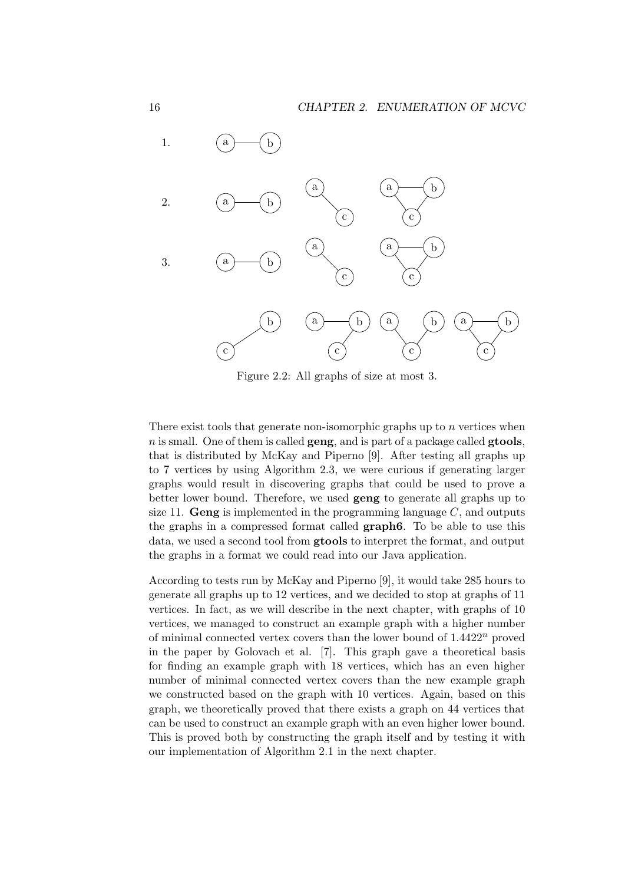

Figure 2.2: All graphs of size at most 3.

There exist tools that generate non-isomorphic graphs up to  $n$  vertices when  $n$  is small. One of them is called **geng**, and is part of a package called **gtools**, that is distributed by McKay and Piperno [9]. After testing all graphs up to 7 vertices by using Algorithm 2.3, we were curious if generating larger graphs would result in discovering graphs that could be used to prove a better lower bound. Therefore, we used geng to generate all graphs up to size 11. Geng is implemented in the programming language  $C$ , and outputs the graphs in a compressed format called graph6. To be able to use this data, we used a second tool from gtools to interpret the format, and output the graphs in a format we could read into our Java application.

According to tests run by McKay and Piperno [9], it would take 285 hours to generate all graphs up to 12 vertices, and we decided to stop at graphs of 11 vertices. In fact, as we will describe in the next chapter, with graphs of 10 vertices, we managed to construct an example graph with a higher number of minimal connected vertex covers than the lower bound of  $1.4422<sup>n</sup>$  proved in the paper by Golovach et al. [7]. This graph gave a theoretical basis for finding an example graph with 18 vertices, which has an even higher number of minimal connected vertex covers than the new example graph we constructed based on the graph with 10 vertices. Again, based on this graph, we theoretically proved that there exists a graph on 44 vertices that can be used to construct an example graph with an even higher lower bound. This is proved both by constructing the graph itself and by testing it with our implementation of Algorithm 2.1 in the next chapter.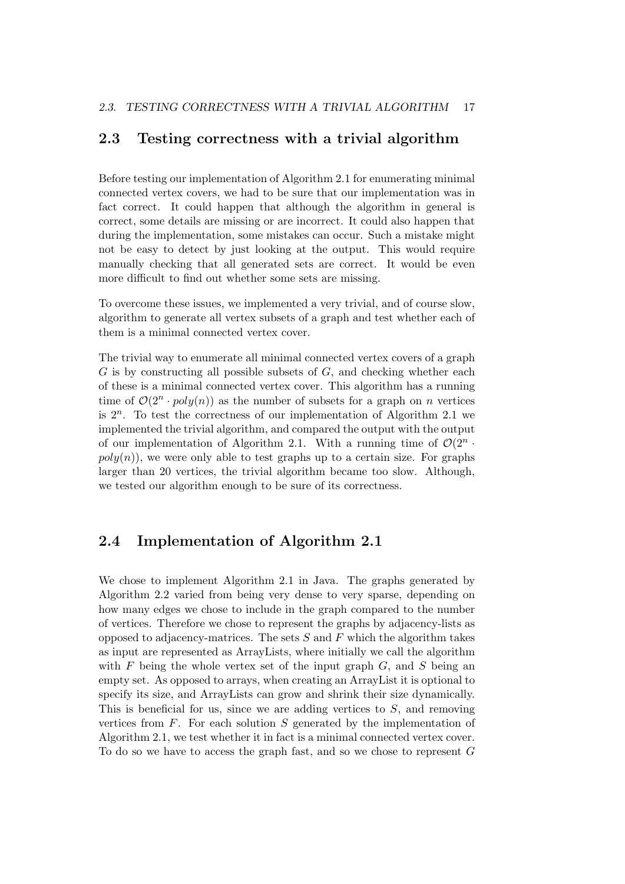#### 2.3 Testing correctness with a trivial algorithm

Before testing our implementation of Algorithm 2.1 for enumerating minimal connected vertex covers, we had to be sure that our implementation was in fact correct. It could happen that although the algorithm in general is correct, some details are missing or are incorrect. It could also happen that during the implementation, some mistakes can occur. Such a mistake might not be easy to detect by just looking at the output. This would require manually checking that all generated sets are correct. It would be even more difficult to find out whether some sets are missing.

To overcome these issues, we implemented a very trivial, and of course slow, algorithm to generate all vertex subsets of a graph and test whether each of them is a minimal connected vertex cover.

The trivial way to enumerate all minimal connected vertex covers of a graph  $G$  is by constructing all possible subsets of  $G$ , and checking whether each of these is a minimal connected vertex cover. This algorithm has a running time of  $\mathcal{O}(2^n \cdot poly(n))$  as the number of subsets for a graph on n vertices is  $2^n$ . To test the correctness of our implementation of Algorithm 2.1 we implemented the trivial algorithm, and compared the output with the output of our implementation of Algorithm 2.1. With a running time of  $\mathcal{O}(2^n \cdot$  $poly(n)$ , we were only able to test graphs up to a certain size. For graphs larger than 20 vertices, the trivial algorithm became too slow. Although, we tested our algorithm enough to be sure of its correctness.

#### 2.4 Implementation of Algorithm 2.1

We chose to implement Algorithm 2.1 in Java. The graphs generated by Algorithm 2.2 varied from being very dense to very sparse, depending on how many edges we chose to include in the graph compared to the number of vertices. Therefore we chose to represent the graphs by adjacency-lists as opposed to adjacency-matrices. The sets  $S$  and  $F$  which the algorithm takes as input are represented as ArrayLists, where initially we call the algorithm with  $F$  being the whole vertex set of the input graph  $G$ , and  $S$  being an empty set. As opposed to arrays, when creating an ArrayList it is optional to specify its size, and ArrayLists can grow and shrink their size dynamically. This is beneficial for us, since we are adding vertices to  $S$ , and removing vertices from  $F$ . For each solution  $S$  generated by the implementation of Algorithm 2.1, we test whether it in fact is a minimal connected vertex cover. To do so we have to access the graph fast, and so we chose to represent G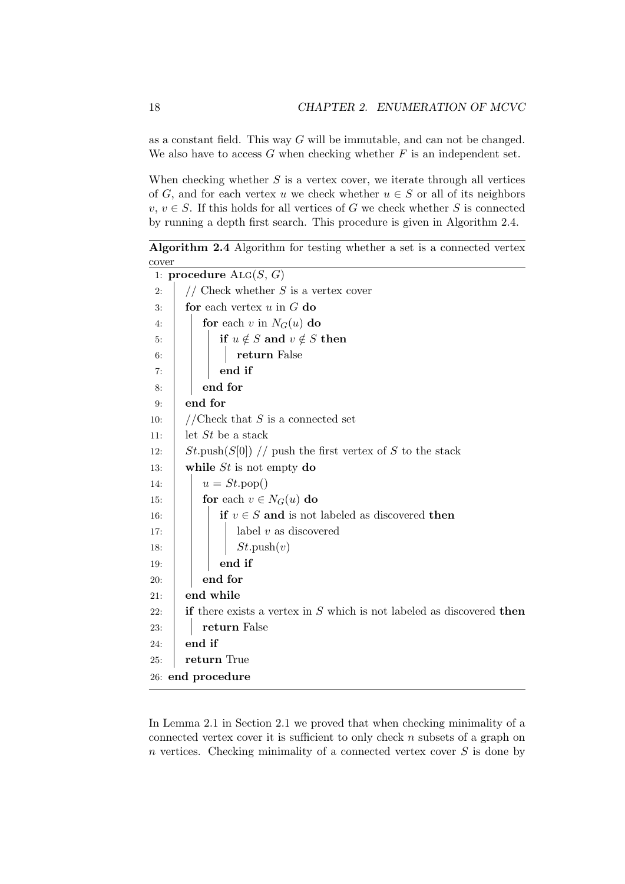as a constant field. This way  $G$  will be immutable, and can not be changed. We also have to access  $G$  when checking whether  $F$  is an independent set.

When checking whether  $S$  is a vertex cover, we iterate through all vertices of G, and for each vertex u we check whether  $u \in S$  or all of its neighbors  $v, v \in S$ . If this holds for all vertices of G we check whether S is connected by running a depth first search. This procedure is given in Algorithm 2.4.

Algorithm 2.4 Algorithm for testing whether a set is a connected vertex cover

|     | 1: procedure $\text{Alg}(S, G)$                                                       |
|-----|---------------------------------------------------------------------------------------|
| 2:  | // Check whether $S$ is a vertex cover                                                |
| 3:  | for each vertex $u$ in $G$ do                                                         |
| 4:  | for each v in $N_G(u)$ do                                                             |
| 5:  | if $u \notin S$ and $v \notin S$ then                                                 |
| 6:  | return False                                                                          |
| 7:  | end if                                                                                |
| 8:  | end for                                                                               |
| 9:  | end for                                                                               |
| 10: | //Check that $S$ is a connected set                                                   |
| 11: | let $St$ be a stack                                                                   |
| 12: | $St.\text{push}(S[0])$ // push the first vertex of S to the stack                     |
| 13: | while $St$ is not empty do                                                            |
| 14: | $u = St.pop()$                                                                        |
| 15: | for each $v \in N_G(u)$ do                                                            |
| 16: | if $v \in S$ and is not labeled as discovered then                                    |
| 17: | label $v$ as discovered                                                               |
| 18: | $St.\text{push}(v)$                                                                   |
| 19: | end if                                                                                |
| 20: | end for                                                                               |
| 21: | end while                                                                             |
| 22: | <b>if</b> there exists a vertex in $S$ which is not labeled as discovered <b>then</b> |
| 23: | return False                                                                          |
| 24: | end if                                                                                |
| 25: | return True                                                                           |
|     | 26: end procedure                                                                     |

In Lemma 2.1 in Section 2.1 we proved that when checking minimality of a connected vertex cover it is sufficient to only check  $n$  subsets of a graph on  $n$  vertices. Checking minimality of a connected vertex cover  $S$  is done by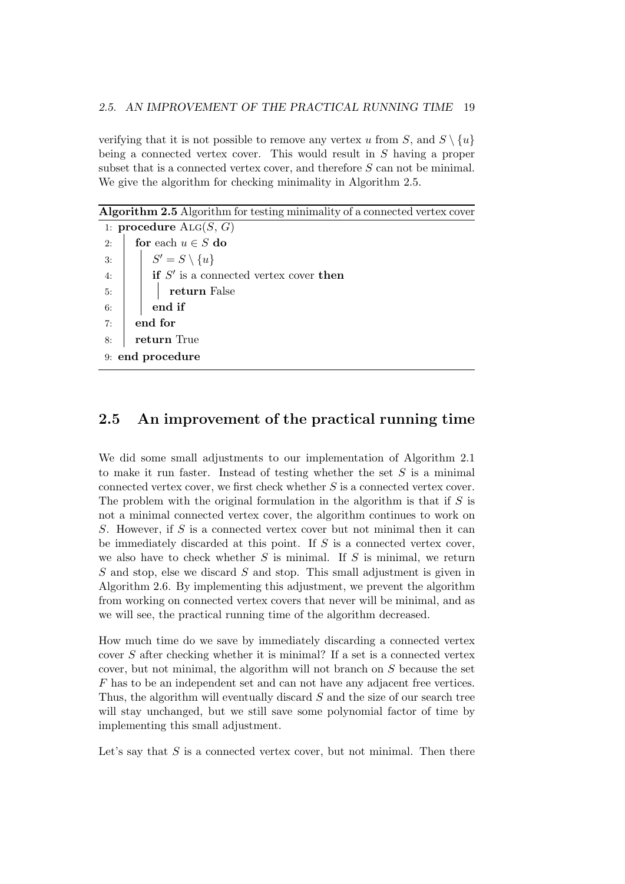verifying that it is not possible to remove any vertex u from S, and  $S \setminus \{u\}$ being a connected vertex cover. This would result in S having a proper subset that is a connected vertex cover, and therefore  $S$  can not be minimal. We give the algorithm for checking minimality in Algorithm 2.5.

Algorithm 2.5 Algorithm for testing minimality of a connected vertex cover 1: procedure  $\text{Alg}(S, G)$ 2: **for** each  $u \in S$  do 3:  $\begin{array}{|c|c|c|} \hline \end{array}$   $S'=S\setminus\{u\}$ 4:  $\parallel$  if S' is a connected vertex cover then 5: | | | **return** False  $6:$  end if  $7:$  end for 8: **return** True 9: end procedure

#### 2.5 An improvement of the practical running time

We did some small adjustments to our implementation of Algorithm 2.1 to make it run faster. Instead of testing whether the set  $S$  is a minimal connected vertex cover, we first check whether  $S$  is a connected vertex cover. The problem with the original formulation in the algorithm is that if  $S$  is not a minimal connected vertex cover, the algorithm continues to work on S. However, if S is a connected vertex cover but not minimal then it can be immediately discarded at this point. If  $S$  is a connected vertex cover, we also have to check whether  $S$  is minimal. If  $S$  is minimal, we return S and stop, else we discard S and stop. This small adjustment is given in Algorithm 2.6. By implementing this adjustment, we prevent the algorithm from working on connected vertex covers that never will be minimal, and as we will see, the practical running time of the algorithm decreased.

How much time do we save by immediately discarding a connected vertex cover S after checking whether it is minimal? If a set is a connected vertex cover, but not minimal, the algorithm will not branch on S because the set F has to be an independent set and can not have any adjacent free vertices. Thus, the algorithm will eventually discard S and the size of our search tree will stay unchanged, but we still save some polynomial factor of time by implementing this small adjustment.

Let's say that  $S$  is a connected vertex cover, but not minimal. Then there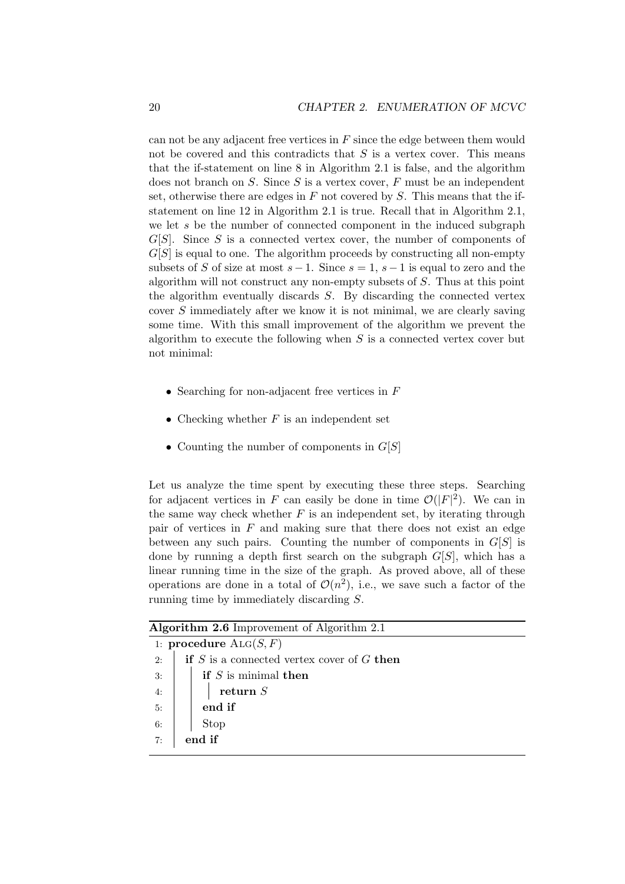can not be any adjacent free vertices in  $F$  since the edge between them would not be covered and this contradicts that  $S$  is a vertex cover. This means that the if-statement on line 8 in Algorithm 2.1 is false, and the algorithm does not branch on  $S$ . Since  $S$  is a vertex cover,  $F$  must be an independent set, otherwise there are edges in  $F$  not covered by  $S$ . This means that the ifstatement on line 12 in Algorithm 2.1 is true. Recall that in Algorithm 2.1, we let s be the number of connected component in the induced subgraph  $G[S]$ . Since S is a connected vertex cover, the number of components of  $G[S]$  is equal to one. The algorithm proceeds by constructing all non-empty subsets of S of size at most  $s-1$ . Since  $s=1, s-1$  is equal to zero and the algorithm will not construct any non-empty subsets of S. Thus at this point the algorithm eventually discards  $S$ . By discarding the connected vertex cover S immediately after we know it is not minimal, we are clearly saving some time. With this small improvement of the algorithm we prevent the algorithm to execute the following when  $S$  is a connected vertex cover but not minimal:

- Searching for non-adjacent free vertices in F
- Checking whether  $F$  is an independent set
- Counting the number of components in  $G[S]$

Let us analyze the time spent by executing these three steps. Searching for adjacent vertices in F can easily be done in time  $\mathcal{O}(|F|^2)$ . We can in the same way check whether  $F$  is an independent set, by iterating through pair of vertices in  $F$  and making sure that there does not exist an edge between any such pairs. Counting the number of components in  $G[S]$  is done by running a depth first search on the subgraph  $G[S]$ , which has a linear running time in the size of the graph. As proved above, all of these operations are done in a total of  $\mathcal{O}(n^2)$ , i.e., we save such a factor of the running time by immediately discarding S.

| <b>Algorithm 2.6</b> Improvement of Algorithm 2.1 |                                                |  |  |  |  |  |  |  |
|---------------------------------------------------|------------------------------------------------|--|--|--|--|--|--|--|
|                                                   | 1: procedure $\text{Alg}(S, F)$                |  |  |  |  |  |  |  |
| 2:                                                | if $S$ is a connected vertex cover of $G$ then |  |  |  |  |  |  |  |
| 3:                                                | if $S$ is minimal then                         |  |  |  |  |  |  |  |
| 4:                                                | return $S$                                     |  |  |  |  |  |  |  |
| 5:                                                | end if                                         |  |  |  |  |  |  |  |
| 6:                                                | Stop                                           |  |  |  |  |  |  |  |
| 7:                                                | end if                                         |  |  |  |  |  |  |  |
|                                                   |                                                |  |  |  |  |  |  |  |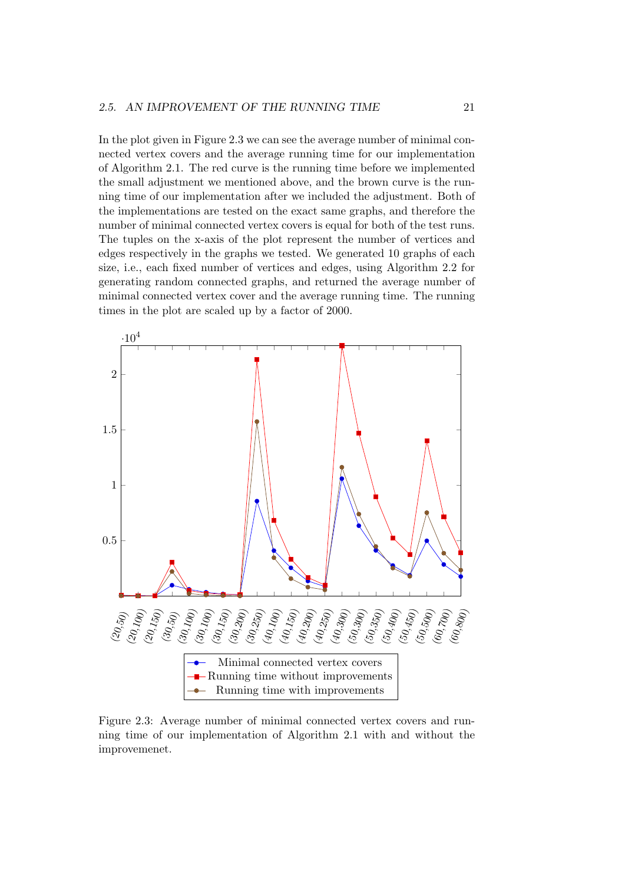In the plot given in Figure 2.3 we can see the average number of minimal connected vertex covers and the average running time for our implementation of Algorithm 2.1. The red curve is the running time before we implemented the small adjustment we mentioned above, and the brown curve is the running time of our implementation after we included the adjustment. Both of the implementations are tested on the exact same graphs, and therefore the number of minimal connected vertex covers is equal for both of the test runs. The tuples on the x-axis of the plot represent the number of vertices and edges respectively in the graphs we tested. We generated 10 graphs of each size, i.e., each fixed number of vertices and edges, using Algorithm 2.2 for generating random connected graphs, and returned the average number of minimal connected vertex cover and the average running time. The running times in the plot are scaled up by a factor of 2000.



Figure 2.3: Average number of minimal connected vertex covers and running time of our implementation of Algorithm 2.1 with and without the improvemenet.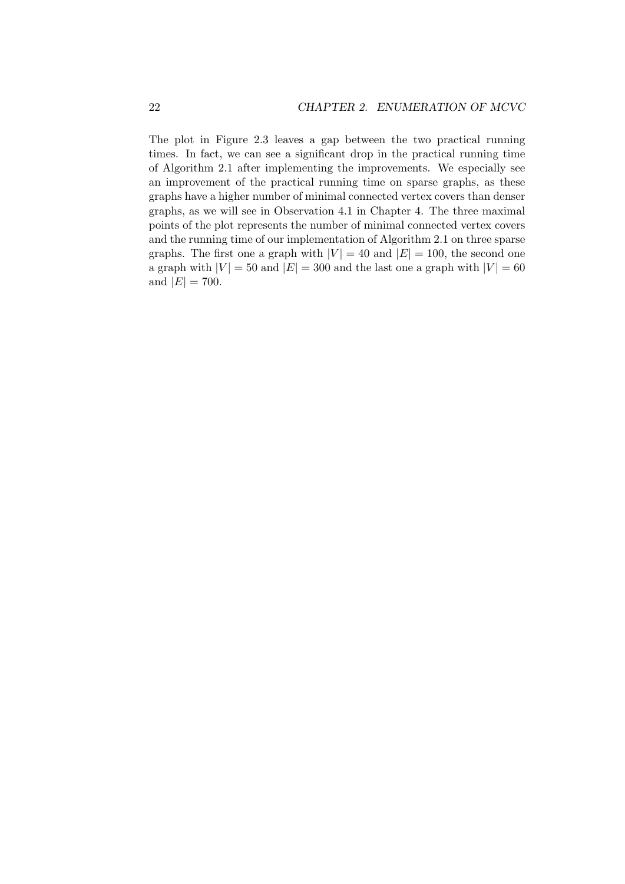The plot in Figure 2.3 leaves a gap between the two practical running times. In fact, we can see a significant drop in the practical running time of Algorithm 2.1 after implementing the improvements. We especially see an improvement of the practical running time on sparse graphs, as these graphs have a higher number of minimal connected vertex covers than denser graphs, as we will see in Observation 4.1 in Chapter 4. The three maximal points of the plot represents the number of minimal connected vertex covers and the running time of our implementation of Algorithm 2.1 on three sparse graphs. The first one a graph with  $|V| = 40$  and  $|E| = 100$ , the second one a graph with  $|V| = 50$  and  $|E| = 300$  and the last one a graph with  $|V| = 60$ and  $|E| = 700$ .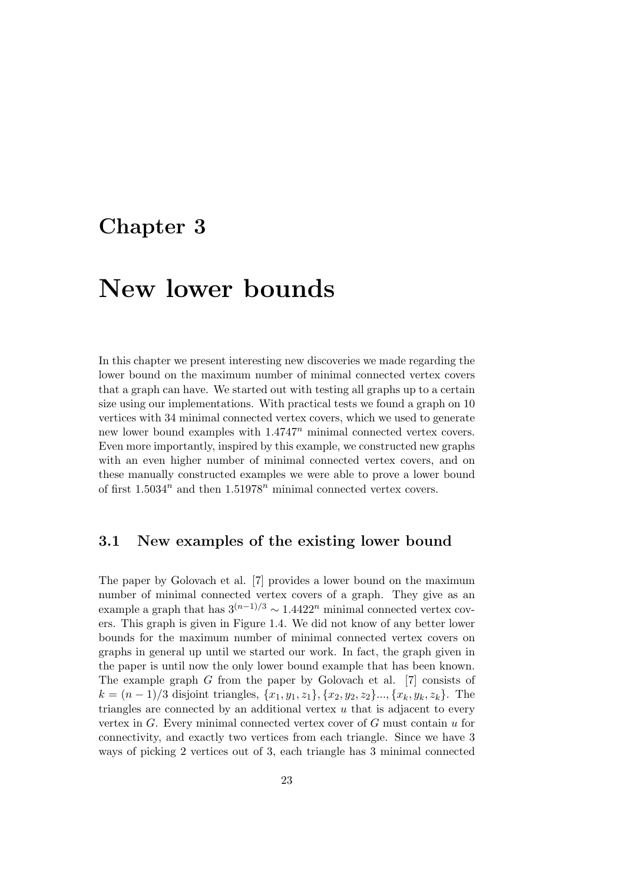### Chapter 3

## New lower bounds

In this chapter we present interesting new discoveries we made regarding the lower bound on the maximum number of minimal connected vertex covers that a graph can have. We started out with testing all graphs up to a certain size using our implementations. With practical tests we found a graph on 10 vertices with 34 minimal connected vertex covers, which we used to generate new lower bound examples with  $1.4747^n$  minimal connected vertex covers. Even more importantly, inspired by this example, we constructed new graphs with an even higher number of minimal connected vertex covers, and on these manually constructed examples we were able to prove a lower bound of first  $1.5034^n$  and then  $1.51978^n$  minimal connected vertex covers.

#### 3.1 New examples of the existing lower bound

The paper by Golovach et al. [7] provides a lower bound on the maximum number of minimal connected vertex covers of a graph. They give as an example a graph that has  $3^{(n-1)/3} \sim 1.4422^n$  minimal connected vertex covers. This graph is given in Figure 1.4. We did not know of any better lower bounds for the maximum number of minimal connected vertex covers on graphs in general up until we started our work. In fact, the graph given in the paper is until now the only lower bound example that has been known. The example graph G from the paper by Golovach et al. [7] consists of  $k = (n-1)/3$  disjoint triangles,  $\{x_1, y_1, z_1\}, \{x_2, y_2, z_2\}, \ldots, \{x_k, y_k, z_k\}.$  The triangles are connected by an additional vertex  $u$  that is adjacent to every vertex in G. Every minimal connected vertex cover of G must contain u for connectivity, and exactly two vertices from each triangle. Since we have 3 ways of picking 2 vertices out of 3, each triangle has 3 minimal connected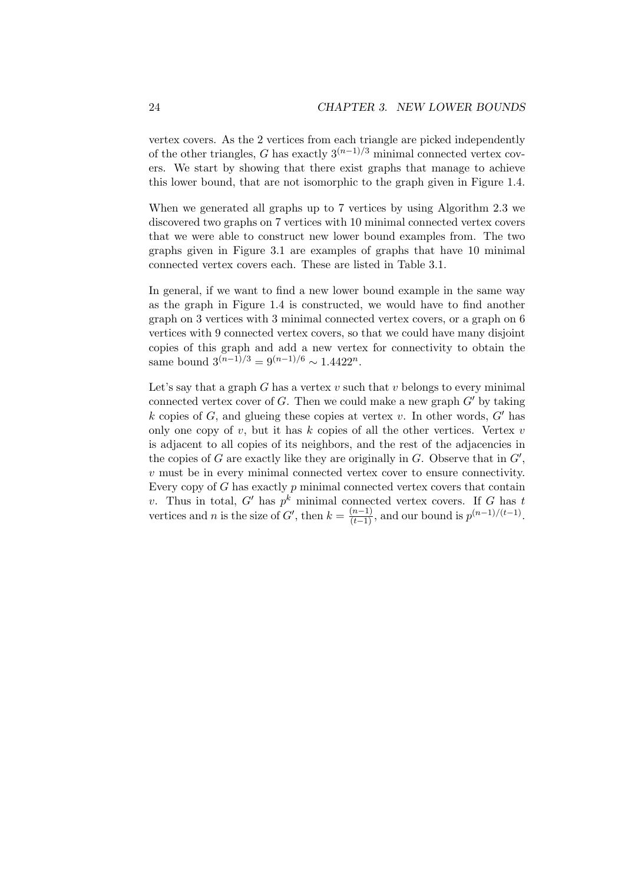vertex covers. As the 2 vertices from each triangle are picked independently of the other triangles, G has exactly  $3^{(n-1)/3}$  minimal connected vertex covers. We start by showing that there exist graphs that manage to achieve this lower bound, that are not isomorphic to the graph given in Figure 1.4.

When we generated all graphs up to 7 vertices by using Algorithm 2.3 we discovered two graphs on 7 vertices with 10 minimal connected vertex covers that we were able to construct new lower bound examples from. The two graphs given in Figure 3.1 are examples of graphs that have 10 minimal connected vertex covers each. These are listed in Table 3.1.

In general, if we want to find a new lower bound example in the same way as the graph in Figure 1.4 is constructed, we would have to find another graph on 3 vertices with 3 minimal connected vertex covers, or a graph on 6 vertices with 9 connected vertex covers, so that we could have many disjoint copies of this graph and add a new vertex for connectivity to obtain the same bound  $3^{(n-1)/3} = 9^{(n-1)/6} \sim 1.4422^n$ .

Let's say that a graph G has a vertex  $v$  such that  $v$  belongs to every minimal connected vertex cover of  $G$ . Then we could make a new graph  $G'$  by taking k copies of G, and glueing these copies at vertex v. In other words,  $G'$  has only one copy of  $v$ , but it has  $k$  copies of all the other vertices. Vertex  $v$ is adjacent to all copies of its neighbors, and the rest of the adjacencies in the copies of G are exactly like they are originally in  $G$ . Observe that in  $G'$ , v must be in every minimal connected vertex cover to ensure connectivity. Every copy of  $G$  has exactly  $p$  minimal connected vertex covers that contain v. Thus in total, G' has  $p^k$  minimal connected vertex covers. If G has t vertices and *n* is the size of  $G'$ , then  $k = \frac{(n-1)}{(t-1)}$ , and our bound is  $p^{(n-1)/(t-1)}$ .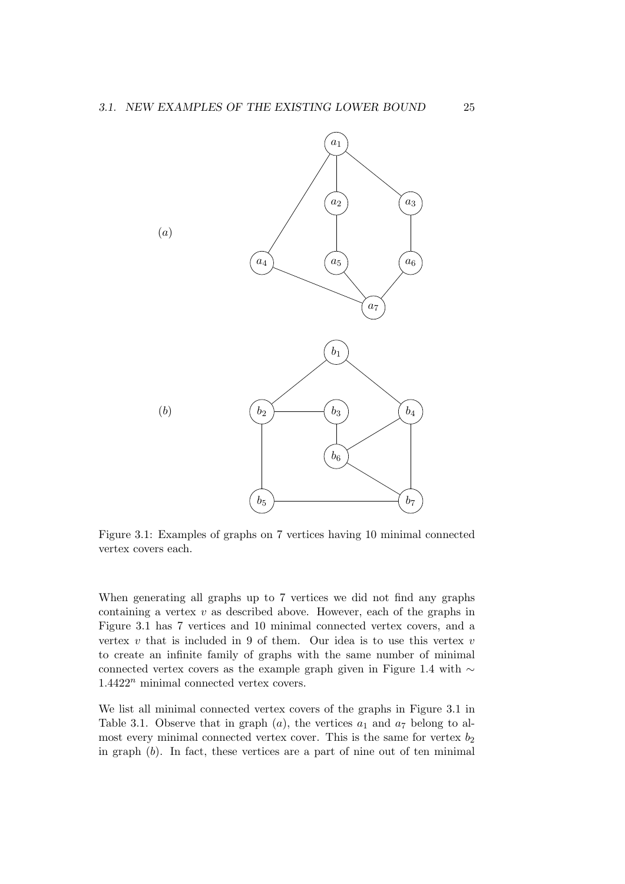

Figure 3.1: Examples of graphs on 7 vertices having 10 minimal connected vertex covers each.

When generating all graphs up to 7 vertices we did not find any graphs containing a vertex  $v$  as described above. However, each of the graphs in Figure 3.1 has 7 vertices and 10 minimal connected vertex covers, and a vertex  $v$  that is included in 9 of them. Our idea is to use this vertex  $v$ to create an infinite family of graphs with the same number of minimal connected vertex covers as the example graph given in Figure 1.4 with ∼  $1.4422<sup>n</sup>$  minimal connected vertex covers.

We list all minimal connected vertex covers of the graphs in Figure 3.1 in Table 3.1. Observe that in graph  $(a)$ , the vertices  $a_1$  and  $a_7$  belong to almost every minimal connected vertex cover. This is the same for vertex  $b_2$ in graph  $(b)$ . In fact, these vertices are a part of nine out of ten minimal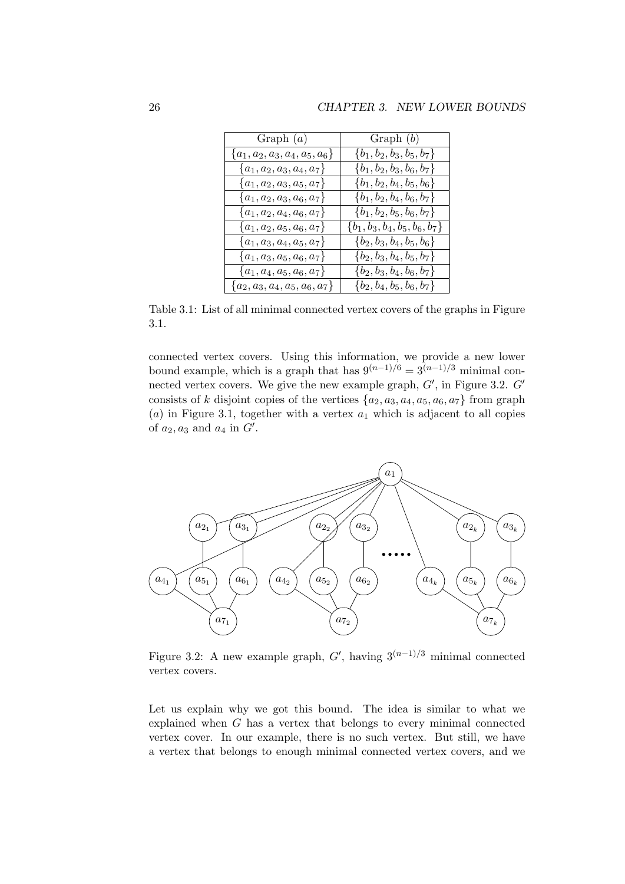| Graph $(a)$                      | Graph $(b)$                      |
|----------------------------------|----------------------------------|
| ${a_1, a_2, a_3, a_4, a_5, a_6}$ | $\{b_1, b_2, b_3, b_5, b_7\}$    |
| ${a_1, a_2, a_3, a_4, a_7}$      | ${b_1, b_2, b_3, b_6, b_7}$      |
| ${a_1, a_2, a_3, a_5, a_7}$      | ${b_1, b_2, b_4, b_5, b_6}$      |
| $\{a_1, a_2, a_3, a_6, a_7\}$    | ${b_1, b_2, b_4, b_6, b_7}$      |
| $\{a_1, a_2, a_4, a_6, a_7\}$    | $\{b_1, b_2, b_5, b_6, b_7\}$    |
| ${a_1, a_2, a_5, a_6, a_7}$      | ${b_1, b_3, b_4, b_5, b_6, b_7}$ |
| $\{a_1, a_3, a_4, a_5, a_7\}$    | ${b_2, b_3, b_4, b_5, b_6}$      |
| $\{a_1, a_3, a_5, a_6, a_7\}$    | ${b_2, b_3, b_4, b_5, b_7}$      |
| ${a_1, a_4, a_5, a_6, a_7}$      | ${b_2, b_3, b_4, b_6, b_7}$      |
| ${a_2, a_3, a_4, a_5, a_6, a_7}$ | ${b_2, b_4, b_5, b_6, b_7}$      |

Table 3.1: List of all minimal connected vertex covers of the graphs in Figure 3.1.

connected vertex covers. Using this information, we provide a new lower bound example, which is a graph that has  $9^{(n-1)/6} = 3^{(n-1)/3}$  minimal connected vertex covers. We give the new example graph,  $G'$ , in Figure 3.2.  $G'$ consists of k disjoint copies of the vertices  $\{a_2, a_3, a_4, a_5, a_6, a_7\}$  from graph (a) in Figure 3.1, together with a vertex  $a_1$  which is adjacent to all copies of  $a_2, a_3$  and  $a_4$  in  $G'$ .



Figure 3.2: A new example graph,  $G'$ , having  $3^{(n-1)/3}$  minimal connected vertex covers.

Let us explain why we got this bound. The idea is similar to what we explained when G has a vertex that belongs to every minimal connected vertex cover. In our example, there is no such vertex. But still, we have a vertex that belongs to enough minimal connected vertex covers, and we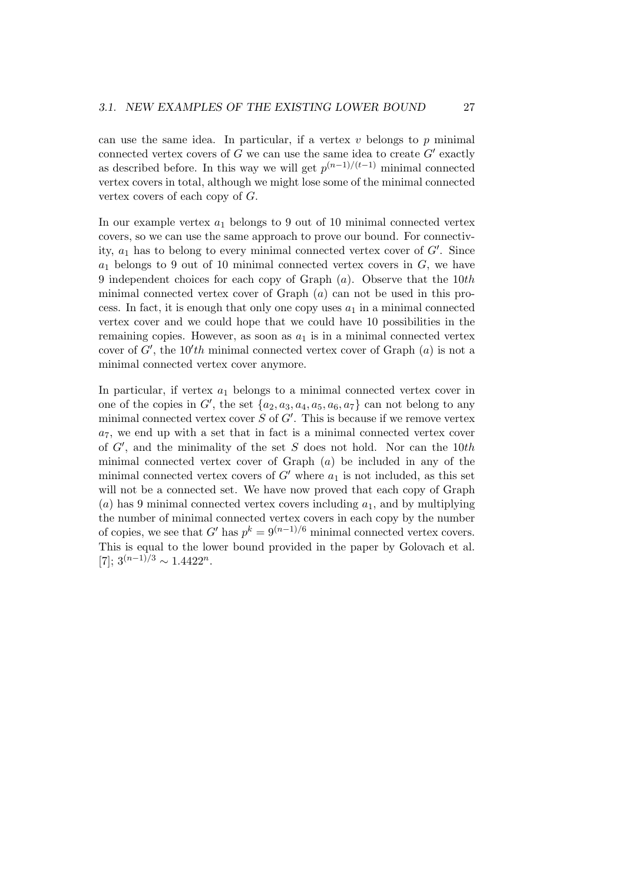can use the same idea. In particular, if a vertex  $v$  belongs to  $p$  minimal connected vertex covers of  $G$  we can use the same idea to create  $G'$  exactly as described before. In this way we will get  $p^{(n-1)/(t-1)}$  minimal connected vertex covers in total, although we might lose some of the minimal connected vertex covers of each copy of G.

In our example vertex  $a_1$  belongs to 9 out of 10 minimal connected vertex covers, so we can use the same approach to prove our bound. For connectivity,  $a_1$  has to belong to every minimal connected vertex cover of  $G'$ . Since  $a_1$  belongs to 9 out of 10 minimal connected vertex covers in  $G$ , we have 9 independent choices for each copy of Graph  $(a)$ . Observe that the 10th minimal connected vertex cover of Graph  $(a)$  can not be used in this process. In fact, it is enough that only one copy uses  $a_1$  in a minimal connected vertex cover and we could hope that we could have 10 possibilities in the remaining copies. However, as soon as  $a_1$  is in a minimal connected vertex cover of  $G'$ , the 10'th minimal connected vertex cover of Graph  $(a)$  is not a minimal connected vertex cover anymore.

In particular, if vertex  $a_1$  belongs to a minimal connected vertex cover in one of the copies in  $G'$ , the set  $\{a_2, a_3, a_4, a_5, a_6, a_7\}$  can not belong to any minimal connected vertex cover  $S$  of  $G'$ . This is because if we remove vertex  $a_7$ , we end up with a set that in fact is a minimal connected vertex cover of  $G'$ , and the minimality of the set S does not hold. Nor can the 10th minimal connected vertex cover of Graph  $(a)$  be included in any of the minimal connected vertex covers of  $G'$  where  $a_1$  is not included, as this set will not be a connected set. We have now proved that each copy of Graph (a) has 9 minimal connected vertex covers including  $a_1$ , and by multiplying the number of minimal connected vertex covers in each copy by the number of copies, we see that G' has  $p^k = 9^{(n-1)/6}$  minimal connected vertex covers. This is equal to the lower bound provided in the paper by Golovach et al. [7];  $3^{(n-1)/3} \sim 1.4422^n$ .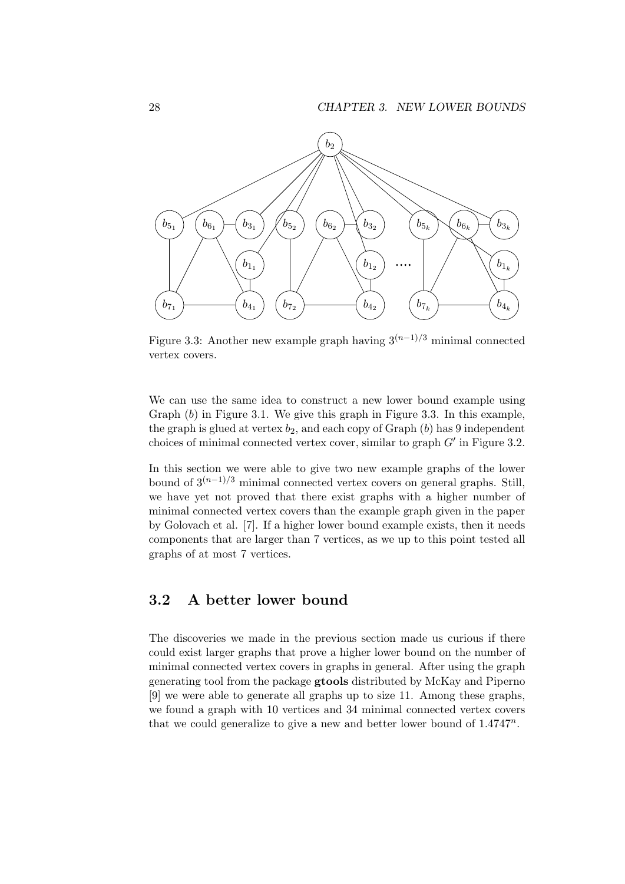

Figure 3.3: Another new example graph having  $3^{(n-1)/3}$  minimal connected vertex covers.

We can use the same idea to construct a new lower bound example using Graph  $(b)$  in Figure 3.1. We give this graph in Figure 3.3. In this example, the graph is glued at vertex  $b_2$ , and each copy of Graph  $(b)$  has 9 independent choices of minimal connected vertex cover, similar to graph  $G'$  in Figure 3.2.

In this section we were able to give two new example graphs of the lower bound of  $3^{(n-1)/3}$  minimal connected vertex covers on general graphs. Still, we have yet not proved that there exist graphs with a higher number of minimal connected vertex covers than the example graph given in the paper by Golovach et al. [7]. If a higher lower bound example exists, then it needs components that are larger than 7 vertices, as we up to this point tested all graphs of at most 7 vertices.

#### 3.2 A better lower bound

The discoveries we made in the previous section made us curious if there could exist larger graphs that prove a higher lower bound on the number of minimal connected vertex covers in graphs in general. After using the graph generating tool from the package gtools distributed by McKay and Piperno [9] we were able to generate all graphs up to size 11. Among these graphs, we found a graph with 10 vertices and 34 minimal connected vertex covers that we could generalize to give a new and better lower bound of  $1.4747^n$ .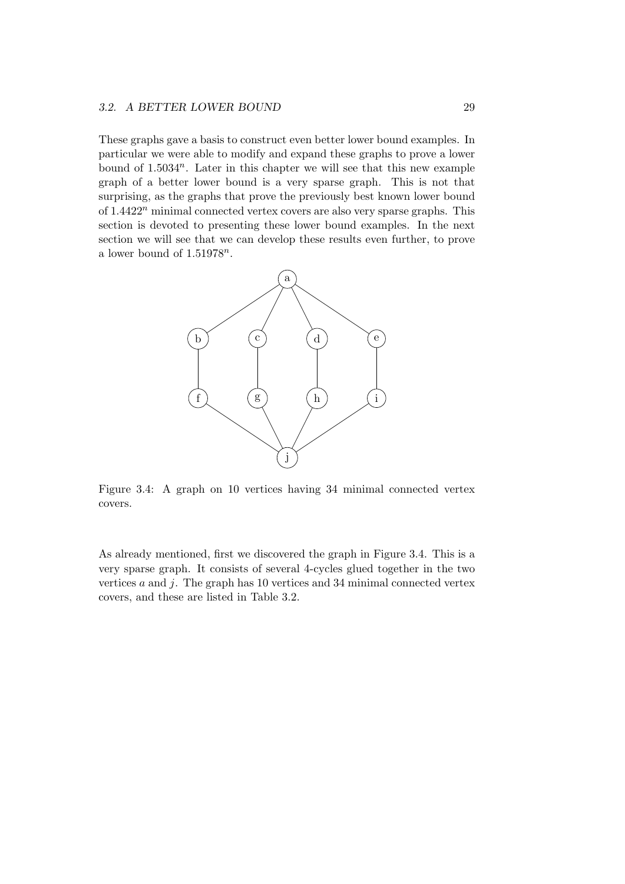#### 3.2. A BETTER LOWER BOUND 29

These graphs gave a basis to construct even better lower bound examples. In particular we were able to modify and expand these graphs to prove a lower bound of  $1.5034^n$ . Later in this chapter we will see that this new example graph of a better lower bound is a very sparse graph. This is not that surprising, as the graphs that prove the previously best known lower bound of  $1.4422<sup>n</sup>$  minimal connected vertex covers are also very sparse graphs. This section is devoted to presenting these lower bound examples. In the next section we will see that we can develop these results even further, to prove a lower bound of  $1.51978^n$ .



Figure 3.4: A graph on 10 vertices having 34 minimal connected vertex covers.

As already mentioned, first we discovered the graph in Figure 3.4. This is a very sparse graph. It consists of several 4-cycles glued together in the two vertices  $a$  and  $j$ . The graph has 10 vertices and 34 minimal connected vertex covers, and these are listed in Table 3.2.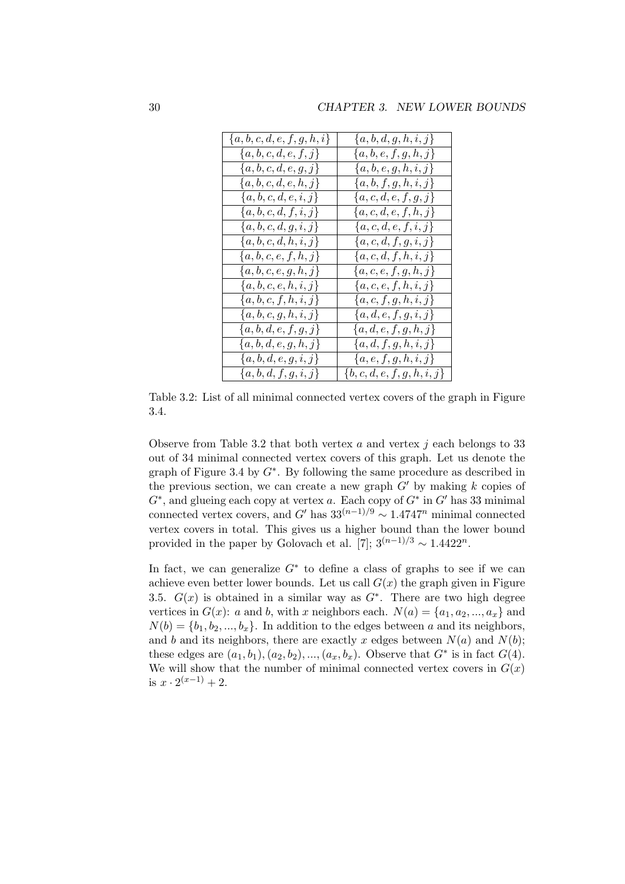| ${a,b,c,d,e,f,g,h,i}$ | $\{a,b,d,g,h,i,j\}$     |
|-----------------------|-------------------------|
| ${a,b,c,d,e,f,j}$     | $\{a,b,e,f,g,h,j\}$     |
| ${a,b,c,d,e,g,j}$     | $\{a,b,e,g,h,i,j\}$     |
| $\{a,b,c,d,e,h,j\}$   | $\{a,b,f,g,h,i,j\}$     |
| $\{a,b,c,d,e,i,j\}$   | ${a,c,d,e,f,g,j}$       |
| ${a,b,c,d,f,i,j}$     | ${a,c,d,e,f,h,j}$       |
| $\{a,b,c,d,g,i,j\}$   | ${a,c,d,e,f,i,j}$       |
| $\{a,b,c,d,h,i,j\}$   | ${a,c,d,f,g,i,j}$       |
| $\{a,b,c,e,f,h,j\}$   | $\{a,c,d,f,h,i,j\}$     |
| ${a,b,c,e,g,h,j}$     | $\{a,c,e,f,g,h,j\}$     |
| ${a,b,c,e,h,i,j}$     | $\{a,c,e,f,h,i,j\}$     |
| $\{a,b,c,f,h,i,j\}$   | ${a,c,f,g,h,i,j}$       |
| $\{a,b,c,g,h,i,j\}$   | ${a,d,e,f,g,i,j}$       |
| ${a,b,d,e,f,g,j}$     | ${a,d,e,f,g,h,j}$       |
| $\{a,b,d,e,g,h,j\}$   | ${a,d,f,g,h,i,j}$       |
| $\{a,b,d,e,g,i,j\}$   | ${a,e,f,g,h,i,j}$       |
| ${a,b,d,f,g,i,j}$     | $\{b,c,d,e,f,g,h,i,j\}$ |

Table 3.2: List of all minimal connected vertex covers of the graph in Figure 3.4.

Observe from Table 3.2 that both vertex  $a$  and vertex  $j$  each belongs to 33 out of 34 minimal connected vertex covers of this graph. Let us denote the graph of Figure 3.4 by  $G^*$ . By following the same procedure as described in the previous section, we can create a new graph  $G'$  by making k copies of  $G^*$ , and glueing each copy at vertex a. Each copy of  $G^*$  in  $G'$  has 33 minimal connected vertex covers, and G' has  $33^{(n-1)/9} \sim 1.4747^n$  minimal connected vertex covers in total. This gives us a higher bound than the lower bound provided in the paper by Golovach et al. [7];  $3^{(n-1)/3} \sim 1.4422^n$ .

In fact, we can generalize  $G^*$  to define a class of graphs to see if we can achieve even better lower bounds. Let us call  $G(x)$  the graph given in Figure 3.5.  $G(x)$  is obtained in a similar way as  $G^*$ . There are two high degree vertices in  $G(x)$ : a and b, with x neighbors each.  $N(a) = \{a_1, a_2, ..., a_x\}$  and  $N(b) = \{b_1, b_2, ..., b_x\}$ . In addition to the edges between a and its neighbors, and b and its neighbors, there are exactly x edges between  $N(a)$  and  $N(b)$ ; these edges are  $(a_1, b_1), (a_2, b_2), ..., (a_x, b_x)$ . Observe that  $G^*$  is in fact  $G(4)$ . We will show that the number of minimal connected vertex covers in  $G(x)$ is  $x \cdot 2^{(x-1)} + 2$ .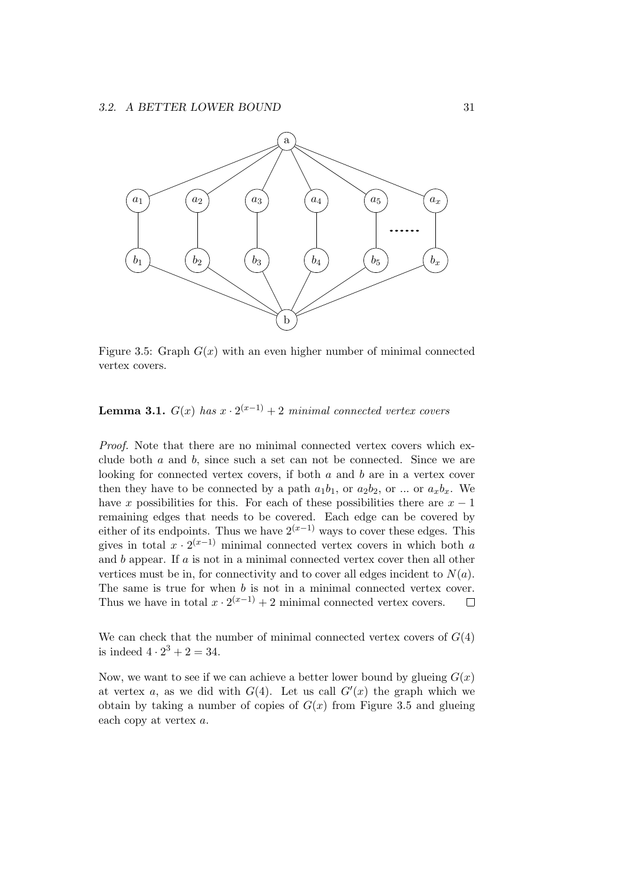

Figure 3.5: Graph  $G(x)$  with an even higher number of minimal connected vertex covers.

**Lemma 3.1.**  $G(x)$  has  $x \cdot 2^{(x-1)} + 2$  minimal connected vertex covers

Proof. Note that there are no minimal connected vertex covers which exclude both a and b, since such a set can not be connected. Since we are looking for connected vertex covers, if both  $a$  and  $b$  are in a vertex cover then they have to be connected by a path  $a_1b_1$ , or  $a_2b_2$ , or ... or  $a_xb_x$ . We have x possibilities for this. For each of these possibilities there are  $x - 1$ remaining edges that needs to be covered. Each edge can be covered by either of its endpoints. Thus we have  $2^{(x-1)}$  ways to cover these edges. This gives in total  $x \cdot 2^{(x-1)}$  minimal connected vertex covers in which both a and b appear. If a is not in a minimal connected vertex cover then all other vertices must be in, for connectivity and to cover all edges incident to  $N(a)$ . The same is true for when b is not in a minimal connected vertex cover. Thus we have in total  $x \cdot 2^{(x-1)} + 2$  minimal connected vertex covers.  $\Box$ 

We can check that the number of minimal connected vertex covers of  $G(4)$ is indeed  $4 \cdot 2^3 + 2 = 34$ .

Now, we want to see if we can achieve a better lower bound by glueing  $G(x)$ at vertex a, as we did with  $G(4)$ . Let us call  $G'(x)$  the graph which we obtain by taking a number of copies of  $G(x)$  from Figure 3.5 and glueing each copy at vertex a.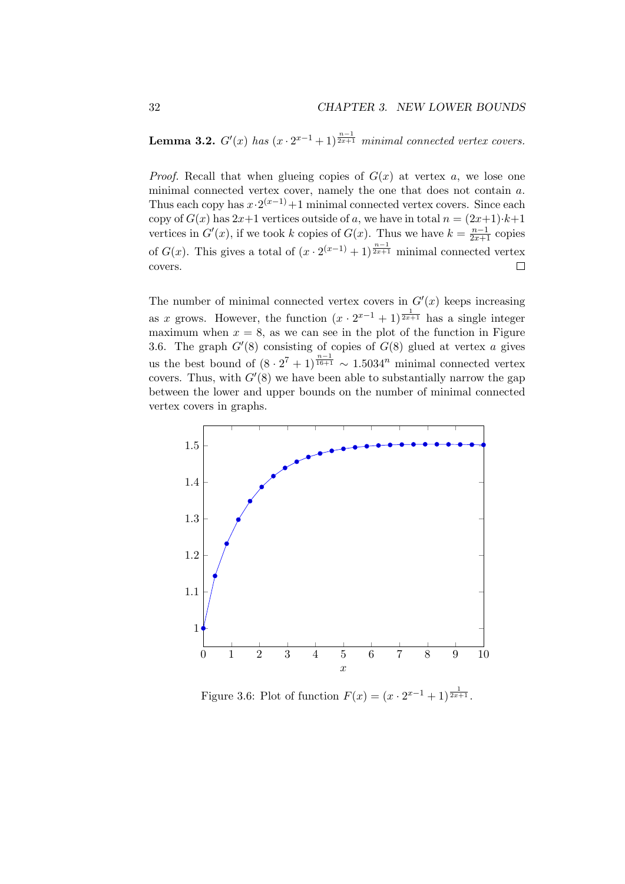**Lemma 3.2.**  $G'(x)$  has  $(x \cdot 2^{x-1} + 1)^{\frac{n-1}{2x+1}}$  minimal connected vertex covers.

*Proof.* Recall that when glueing copies of  $G(x)$  at vertex a, we lose one minimal connected vertex cover, namely the one that does not contain a. Thus each copy has  $x \cdot 2^{(x-1)} + 1$  minimal connected vertex covers. Since each copy of  $G(x)$  has  $2x+1$  vertices outside of a, we have in total  $n = (2x+1)\cdot k+1$ vertices in  $G'(x)$ , if we took k copies of  $G(x)$ . Thus we have  $k = \frac{n-1}{2x+1}$  copies of  $G(x)$ . This gives a total of  $(x \cdot 2^{(x-1)} + 1)^{\frac{n-1}{2x+1}}$  minimal connected vertex covers.  $\Box$ 

The number of minimal connected vertex covers in  $G'(x)$  keeps increasing as x grows. However, the function  $(x \cdot 2^{x-1} + 1)^{\frac{1}{2x+1}}$  has a single integer maximum when  $x = 8$ , as we can see in the plot of the function in Figure 3.6. The graph  $G'(8)$  consisting of copies of  $G(8)$  glued at vertex a gives us the best bound of  $(8 \cdot 2^7 + 1)^{\frac{n-1}{16+1}} \sim 1.5034^n$  minimal connected vertex covers. Thus, with  $G'(8)$  we have been able to substantially narrow the gap between the lower and upper bounds on the number of minimal connected vertex covers in graphs.



Figure 3.6: Plot of function  $F(x) = (x \cdot 2^{x-1} + 1)^{\frac{1}{2x+1}}$ .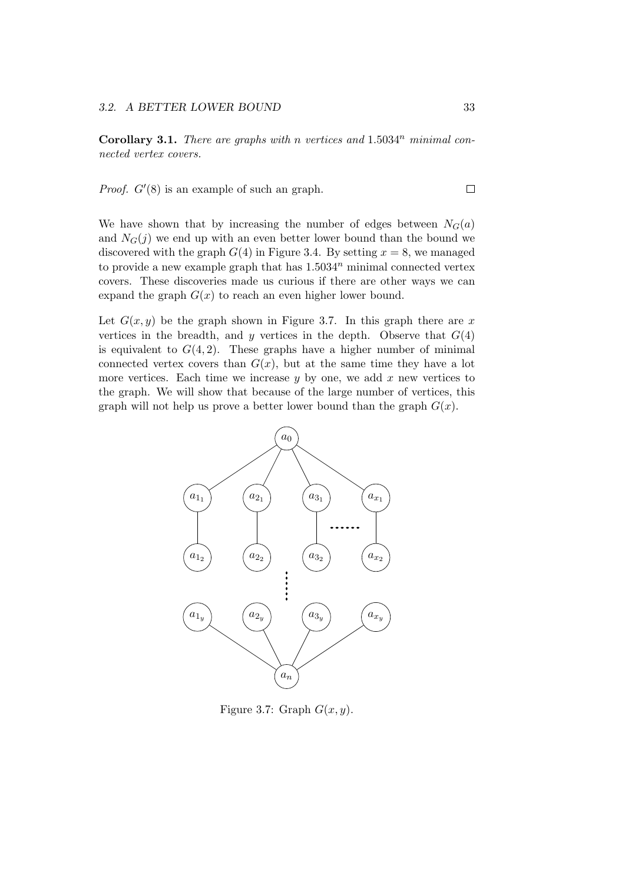**Corollary 3.1.** There are graphs with n vertices and  $1.5034<sup>n</sup>$  minimal connected vertex covers.

*Proof.*  $G'(8)$  is an example of such an graph.

We have shown that by increasing the number of edges between  $N_G(a)$ and  $N_G(j)$  we end up with an even better lower bound than the bound we discovered with the graph  $G(4)$  in Figure 3.4. By setting  $x = 8$ , we managed to provide a new example graph that has  $1.5034<sup>n</sup>$  minimal connected vertex covers. These discoveries made us curious if there are other ways we can expand the graph  $G(x)$  to reach an even higher lower bound.

Let  $G(x, y)$  be the graph shown in Figure 3.7. In this graph there are x vertices in the breadth, and y vertices in the depth. Observe that  $G(4)$ is equivalent to  $G(4,2)$ . These graphs have a higher number of minimal connected vertex covers than  $G(x)$ , but at the same time they have a lot more vertices. Each time we increase  $y$  by one, we add  $x$  new vertices to the graph. We will show that because of the large number of vertices, this graph will not help us prove a better lower bound than the graph  $G(x)$ .



Figure 3.7: Graph  $G(x, y)$ .

 $\Box$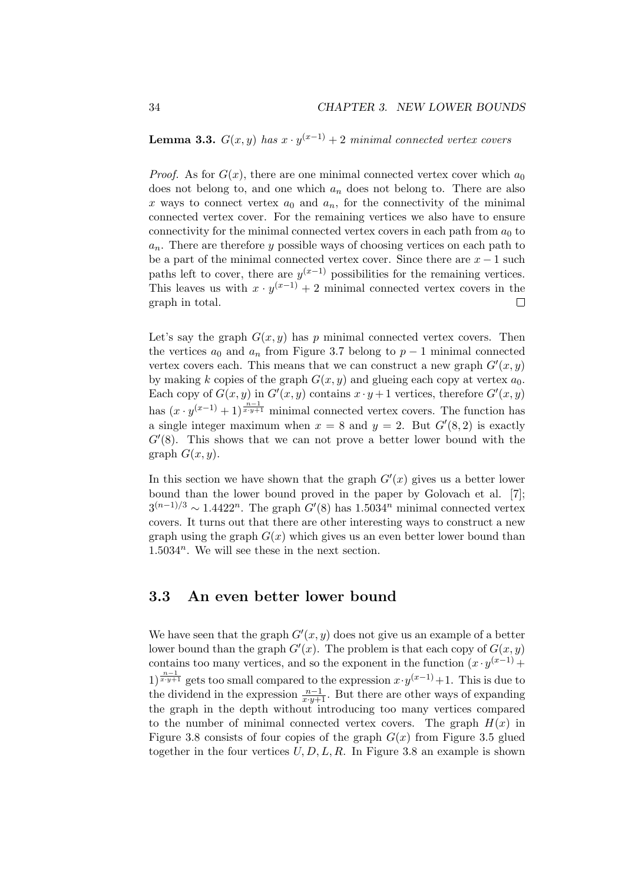**Lemma 3.3.**  $G(x, y)$  has  $x \cdot y^{(x-1)} + 2$  minimal connected vertex covers

*Proof.* As for  $G(x)$ , there are one minimal connected vertex cover which  $a_0$ does not belong to, and one which  $a_n$  does not belong to. There are also x ways to connect vertex  $a_0$  and  $a_n$ , for the connectivity of the minimal connected vertex cover. For the remaining vertices we also have to ensure connectivity for the minimal connected vertex covers in each path from  $a_0$  to  $a_n$ . There are therefore y possible ways of choosing vertices on each path to be a part of the minimal connected vertex cover. Since there are  $x - 1$  such paths left to cover, there are  $y^{(x-1)}$  possibilities for the remaining vertices. This leaves us with  $x \cdot y^{(x-1)} + 2$  minimal connected vertex covers in the graph in total.  $\Box$ 

Let's say the graph  $G(x, y)$  has p minimal connected vertex covers. Then the vertices  $a_0$  and  $a_n$  from Figure 3.7 belong to  $p-1$  minimal connected vertex covers each. This means that we can construct a new graph  $G'(x, y)$ by making k copies of the graph  $G(x, y)$  and glueing each copy at vertex  $a_0$ . Each copy of  $G(x, y)$  in  $G'(x, y)$  contains  $x \cdot y + 1$  vertices, therefore  $G'(x, y)$ has  $(x \cdot y^{(x-1)} + 1)^{\frac{n-1}{x \cdot y+1}}$  minimal connected vertex covers. The function has a single integer maximum when  $x = 8$  and  $y = 2$ . But  $G'(8, 2)$  is exactly  $G'(8)$ . This shows that we can not prove a better lower bound with the graph  $G(x, y)$ .

In this section we have shown that the graph  $G'(x)$  gives us a better lower bound than the lower bound proved in the paper by Golovach et al. [7];  $3^{(n-1)/3} \sim 1.4422^n$ . The graph  $G'(8)$  has  $1.5034^n$  minimal connected vertex covers. It turns out that there are other interesting ways to construct a new graph using the graph  $G(x)$  which gives us an even better lower bound than  $1.5034<sup>n</sup>$ . We will see these in the next section.

#### 3.3 An even better lower bound

We have seen that the graph  $G'(x, y)$  does not give us an example of a better lower bound than the graph  $G'(x)$ . The problem is that each copy of  $G(x, y)$ contains too many vertices, and so the exponent in the function  $(x \cdot y^{(x-1)} +$  $1)^{\frac{n-1}{x\cdot y+1}}$  gets too small compared to the expression  $x\cdot y^{(x-1)}+1$ . This is due to the dividend in the expression  $\frac{n-1}{x\cdot y+1}$ . But there are other ways of expanding the graph in the depth without introducing too many vertices compared to the number of minimal connected vertex covers. The graph  $H(x)$  in Figure 3.8 consists of four copies of the graph  $G(x)$  from Figure 3.5 glued together in the four vertices  $U, D, L, R$ . In Figure 3.8 an example is shown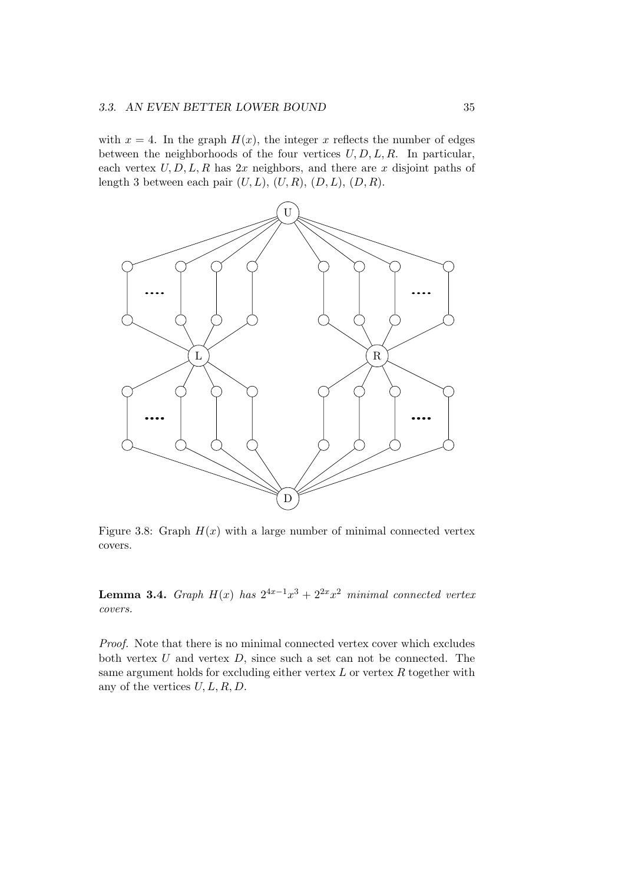with  $x = 4$ . In the graph  $H(x)$ , the integer x reflects the number of edges between the neighborhoods of the four vertices  $U, D, L, R$ . In particular, each vertex  $U, D, L, R$  has  $2x$  neighbors, and there are x disjoint paths of length 3 between each pair  $(U, L)$ ,  $(U, R)$ ,  $(D, L)$ ,  $(D, R)$ .



Figure 3.8: Graph  $H(x)$  with a large number of minimal connected vertex covers.

**Lemma 3.4.** Graph  $H(x)$  has  $2^{4x-1}x^3 + 2^{2x}x^2$  minimal connected vertex covers.

Proof. Note that there is no minimal connected vertex cover which excludes both vertex  $U$  and vertex  $D$ , since such a set can not be connected. The same argument holds for excluding either vertex  $L$  or vertex  $R$  together with any of the vertices  $U, L, R, D$ .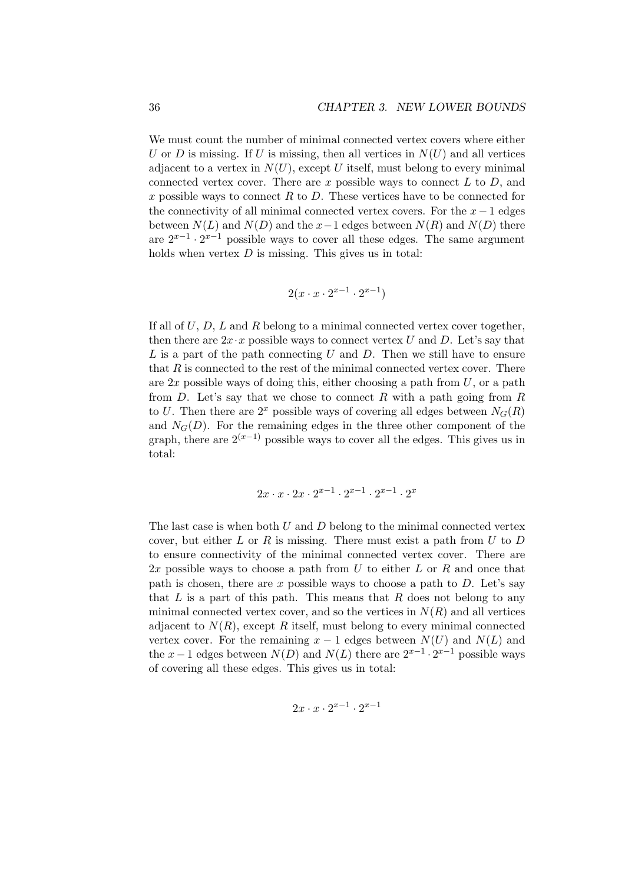We must count the number of minimal connected vertex covers where either U or D is missing. If U is missing, then all vertices in  $N(U)$  and all vertices adjacent to a vertex in  $N(U)$ , except U itself, must belong to every minimal connected vertex cover. There are x possible ways to connect  $L$  to  $D$ , and x possible ways to connect R to D. These vertices have to be connected for the connectivity of all minimal connected vertex covers. For the  $x - 1$  edges between  $N(L)$  and  $N(D)$  and the  $x-1$  edges between  $N(R)$  and  $N(D)$  there are  $2^{x-1} \cdot 2^{x-1}$  possible ways to cover all these edges. The same argument holds when vertex  $D$  is missing. This gives us in total:

$$
2(x \cdot x \cdot 2^{x-1} \cdot 2^{x-1})
$$

If all of  $U, D, L$  and  $R$  belong to a minimal connected vertex cover together, then there are  $2x \cdot x$  possible ways to connect vertex U and D. Let's say that  $L$  is a part of the path connecting  $U$  and  $D$ . Then we still have to ensure that  $R$  is connected to the rest of the minimal connected vertex cover. There are  $2x$  possible ways of doing this, either choosing a path from  $U$ , or a path from D. Let's say that we chose to connect R with a path going from R to U. Then there are  $2^x$  possible ways of covering all edges between  $N_G(R)$ and  $N<sub>G</sub>(D)$ . For the remaining edges in the three other component of the graph, there are  $2^{(x-1)}$  possible ways to cover all the edges. This gives us in total:

$$
2x \cdot x \cdot 2x \cdot 2^{x-1} \cdot 2^{x-1} \cdot 2^{x-1} \cdot 2^x
$$

The last case is when both  $U$  and  $D$  belong to the minimal connected vertex cover, but either  $L$  or  $R$  is missing. There must exist a path from  $U$  to  $D$ to ensure connectivity of the minimal connected vertex cover. There are  $2x$  possible ways to choose a path from U to either L or R and once that path is chosen, there are x possible ways to choose a path to  $D$ . Let's say that L is a part of this path. This means that R does not belong to any minimal connected vertex cover, and so the vertices in  $N(R)$  and all vertices adjacent to  $N(R)$ , except R itself, must belong to every minimal connected vertex cover. For the remaining  $x - 1$  edges between  $N(U)$  and  $N(L)$  and the  $x-1$  edges between  $N(D)$  and  $N(L)$  there are  $2^{x-1} \cdot 2^{x-1}$  possible ways of covering all these edges. This gives us in total:

$$
2x \cdot x \cdot 2^{x-1} \cdot 2^{x-1}
$$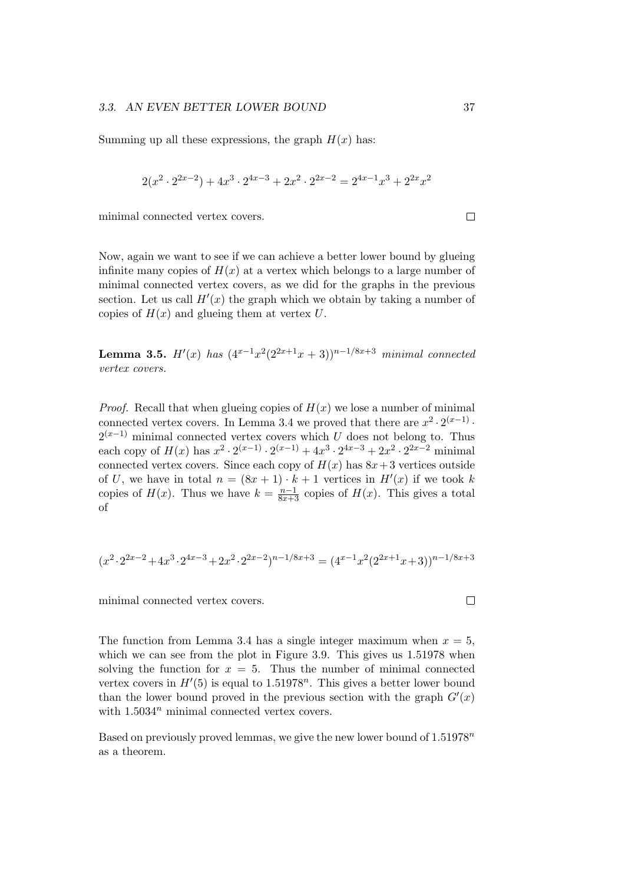Summing up all these expressions, the graph  $H(x)$  has:

$$
2(x^{2} \cdot 2^{2x-2}) + 4x^{3} \cdot 2^{4x-3} + 2x^{2} \cdot 2^{2x-2} = 2^{4x-1}x^{3} + 2^{2x}x^{2}
$$

minimal connected vertex covers.

Now, again we want to see if we can achieve a better lower bound by glueing infinite many copies of  $H(x)$  at a vertex which belongs to a large number of minimal connected vertex covers, as we did for the graphs in the previous section. Let us call  $H'(x)$  the graph which we obtain by taking a number of copies of  $H(x)$  and glueing them at vertex U.

**Lemma 3.5.**  $H'(x)$  has  $(4^{x-1}x^2(2^{2x+1}x+3))^{n-1/8x+3}$  minimal connected vertex covers.

*Proof.* Recall that when glueing copies of  $H(x)$  we lose a number of minimal connected vertex covers. In Lemma 3.4 we proved that there are  $x^2 \cdot 2^{(x-1)}$ .  $2^{(x-1)}$  minimal connected vertex covers which U does not belong to. Thus each copy of  $H(x)$  has  $x^2 \cdot 2^{(x-1)} \cdot 2^{(x-1)} + 4x^3 \cdot 2^{4x-3} + 2x^2 \cdot 2^{2x-2}$  minimal connected vertex covers. Since each copy of  $H(x)$  has  $8x+3$  vertices outside of U, we have in total  $n = (8x + 1) \cdot k + 1$  vertices in  $H'(x)$  if we took k copies of  $H(x)$ . Thus we have  $k = \frac{n-1}{8x+3}$  copies of  $H(x)$ . This gives a total of

$$
(x^2 \cdot 2^{2x-2} + 4x^3 \cdot 2^{4x-3} + 2x^2 \cdot 2^{2x-2})^{n-1/8x+3} = (4^{x-1}x^2(2^{2x+1}x+3))^{n-1/8x+3}
$$

minimal connected vertex covers.

The function from Lemma 3.4 has a single integer maximum when  $x = 5$ , which we can see from the plot in Figure 3.9. This gives us  $1.51978$  when solving the function for  $x = 5$ . Thus the number of minimal connected vertex covers in  $H'(5)$  is equal to 1.51978<sup>n</sup>. This gives a better lower bound than the lower bound proved in the previous section with the graph  $G'(x)$ with  $1.5034^n$  minimal connected vertex covers.

Based on previously proved lemmas, we give the new lower bound of  $1.51978<sup>n</sup>$ as a theorem.

 $\Box$ 

 $\Box$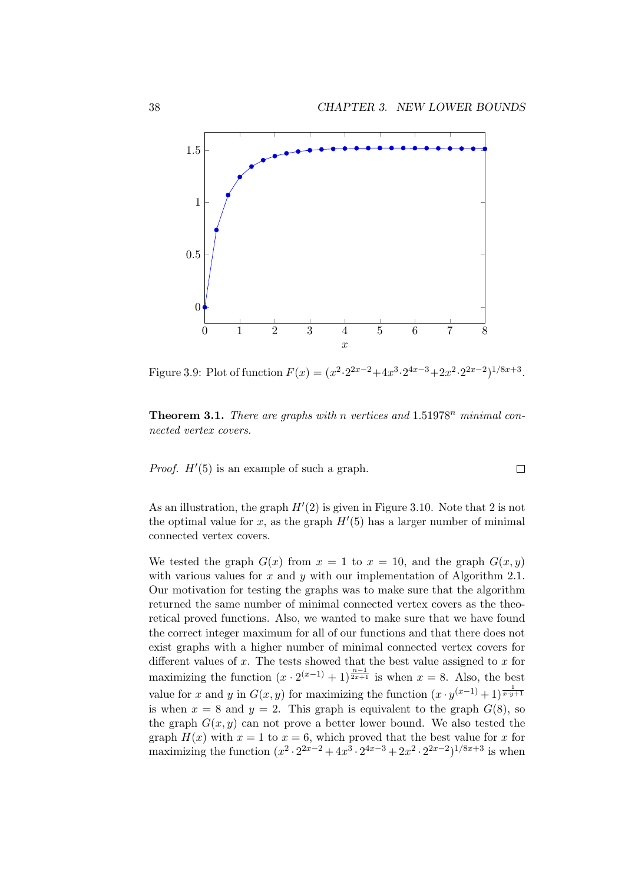$\Box$ 



Figure 3.9: Plot of function  $F(x) = (x^2 \cdot 2^{2x-2} + 4x^3 \cdot 2^{4x-3} + 2x^2 \cdot 2^{2x-2})^{1/8x+3}$ .

**Theorem 3.1.** There are graphs with n vertices and  $1.51978<sup>n</sup>$  minimal connected vertex covers.

*Proof.*  $H'(5)$  is an example of such a graph.

As an illustration, the graph  $H'(2)$  is given in Figure 3.10. Note that 2 is not the optimal value for  $x$ , as the graph  $H'(5)$  has a larger number of minimal connected vertex covers.

We tested the graph  $G(x)$  from  $x = 1$  to  $x = 10$ , and the graph  $G(x, y)$ with various values for  $x$  and  $y$  with our implementation of Algorithm 2.1. Our motivation for testing the graphs was to make sure that the algorithm returned the same number of minimal connected vertex covers as the theoretical proved functions. Also, we wanted to make sure that we have found the correct integer maximum for all of our functions and that there does not exist graphs with a higher number of minimal connected vertex covers for different values of  $x$ . The tests showed that the best value assigned to  $x$  for maximizing the function  $(x \cdot 2^{(x-1)} + 1)^{\frac{n-1}{2x+1}}$  is when  $x = 8$ . Also, the best value for x and y in  $G(x, y)$  for maximizing the function  $(x \cdot y^{(x-1)} + 1)^{\frac{1}{x \cdot y + 1}}$ is when  $x = 8$  and  $y = 2$ . This graph is equivalent to the graph  $G(8)$ , so the graph  $G(x, y)$  can not prove a better lower bound. We also tested the graph  $H(x)$  with  $x = 1$  to  $x = 6$ , which proved that the best value for x for maximizing the function  $(x^2 \cdot 2^{2x-2} + 4x^3 \cdot 2^{4x-3} + 2x^2 \cdot 2^{2x-2})^{1/8x+3}$  is when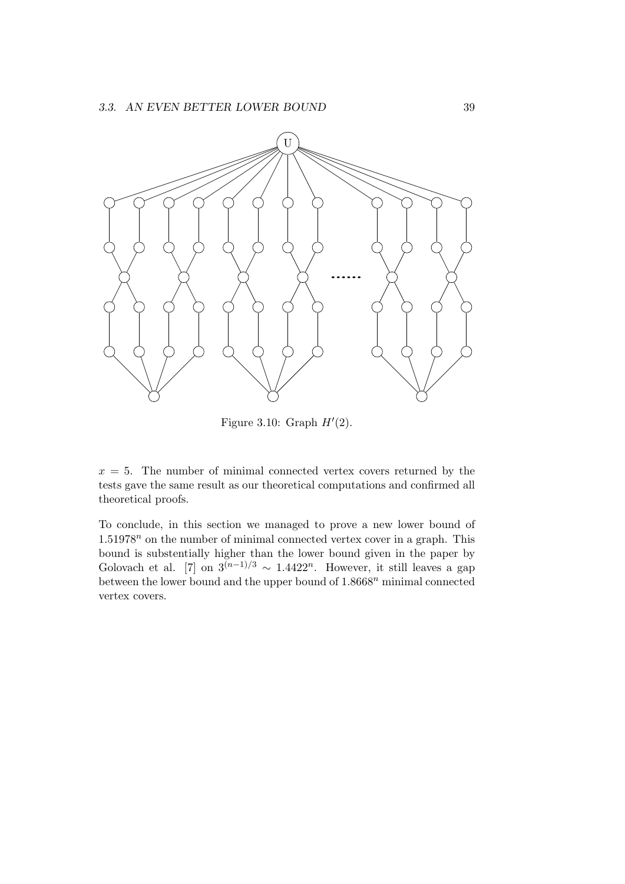

Figure 3.10: Graph  $H'(2)$ .

 $x = 5$ . The number of minimal connected vertex covers returned by the tests gave the same result as our theoretical computations and confirmed all theoretical proofs.

To conclude, in this section we managed to prove a new lower bound of  $1.51978<sup>n</sup>$  on the number of minimal connected vertex cover in a graph. This bound is substentially higher than the lower bound given in the paper by Golovach et al. [7] on  $3^{(n-1)/3} \sim 1.4422^n$ . However, it still leaves a gap between the lower bound and the upper bound of  $1.8668<sup>n</sup>$  minimal connected vertex covers.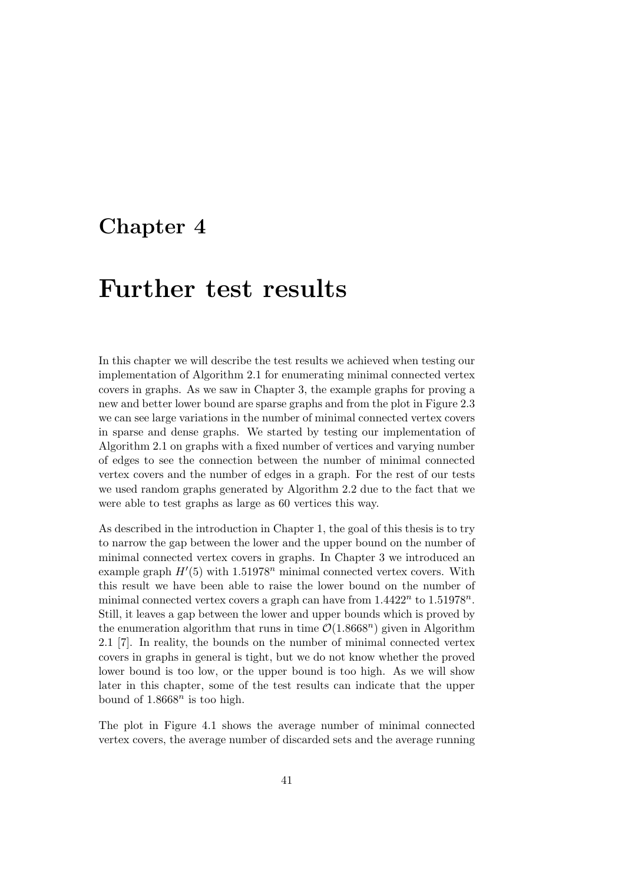### Chapter 4

## Further test results

In this chapter we will describe the test results we achieved when testing our implementation of Algorithm 2.1 for enumerating minimal connected vertex covers in graphs. As we saw in Chapter 3, the example graphs for proving a new and better lower bound are sparse graphs and from the plot in Figure 2.3 we can see large variations in the number of minimal connected vertex covers in sparse and dense graphs. We started by testing our implementation of Algorithm 2.1 on graphs with a fixed number of vertices and varying number of edges to see the connection between the number of minimal connected vertex covers and the number of edges in a graph. For the rest of our tests we used random graphs generated by Algorithm 2.2 due to the fact that we were able to test graphs as large as 60 vertices this way.

As described in the introduction in Chapter 1, the goal of this thesis is to try to narrow the gap between the lower and the upper bound on the number of minimal connected vertex covers in graphs. In Chapter 3 we introduced an example graph  $H'(5)$  with 1.51978<sup>n</sup> minimal connected vertex covers. With this result we have been able to raise the lower bound on the number of minimal connected vertex covers a graph can have from  $1.4422^n$  to  $1.51978^n$ . Still, it leaves a gap between the lower and upper bounds which is proved by the enumeration algorithm that runs in time  $\mathcal{O}(1.8668^n)$  given in Algorithm 2.1 [7]. In reality, the bounds on the number of minimal connected vertex covers in graphs in general is tight, but we do not know whether the proved lower bound is too low, or the upper bound is too high. As we will show later in this chapter, some of the test results can indicate that the upper bound of  $1.8668^n$  is too high.

The plot in Figure 4.1 shows the average number of minimal connected vertex covers, the average number of discarded sets and the average running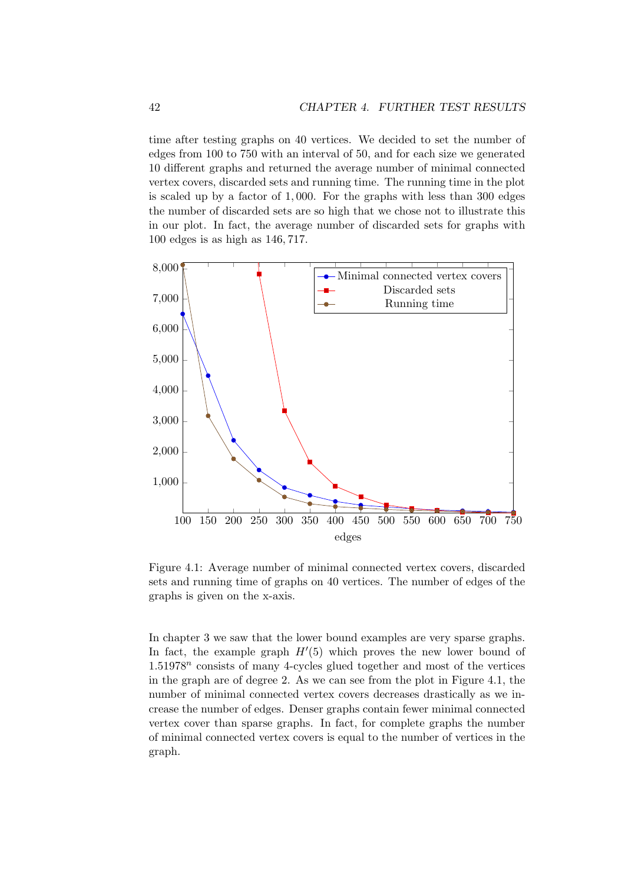time after testing graphs on 40 vertices. We decided to set the number of edges from 100 to 750 with an interval of 50, and for each size we generated 10 different graphs and returned the average number of minimal connected vertex covers, discarded sets and running time. The running time in the plot is scaled up by a factor of 1, 000. For the graphs with less than 300 edges the number of discarded sets are so high that we chose not to illustrate this in our plot. In fact, the average number of discarded sets for graphs with 100 edges is as high as 146, 717.



Figure 4.1: Average number of minimal connected vertex covers, discarded sets and running time of graphs on 40 vertices. The number of edges of the graphs is given on the x-axis.

In chapter 3 we saw that the lower bound examples are very sparse graphs. In fact, the example graph  $H'(5)$  which proves the new lower bound of  $1.51978<sup>n</sup>$  consists of many 4-cycles glued together and most of the vertices in the graph are of degree 2. As we can see from the plot in Figure 4.1, the number of minimal connected vertex covers decreases drastically as we increase the number of edges. Denser graphs contain fewer minimal connected vertex cover than sparse graphs. In fact, for complete graphs the number of minimal connected vertex covers is equal to the number of vertices in the graph.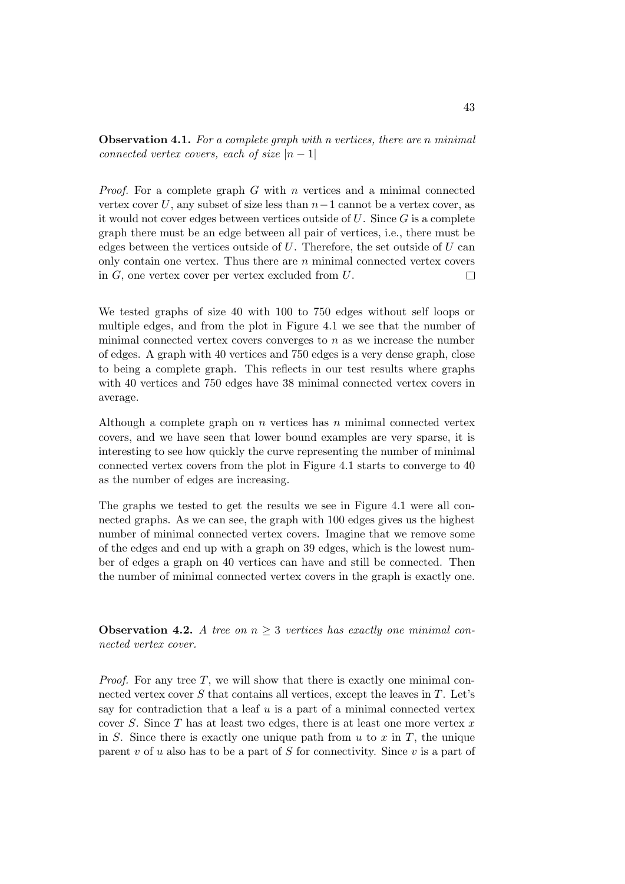**Observation 4.1.** For a complete graph with n vertices, there are n minimal connected vertex covers, each of size  $|n-1|$ 

*Proof.* For a complete graph G with n vertices and a minimal connected vertex cover U, any subset of size less than  $n-1$  cannot be a vertex cover, as it would not cover edges between vertices outside of  $U$ . Since  $G$  is a complete graph there must be an edge between all pair of vertices, i.e., there must be edges between the vertices outside of  $U$ . Therefore, the set outside of  $U$  can only contain one vertex. Thus there are  $n$  minimal connected vertex covers in G, one vertex cover per vertex excluded from U.  $\Box$ 

We tested graphs of size 40 with 100 to 750 edges without self loops or multiple edges, and from the plot in Figure 4.1 we see that the number of minimal connected vertex covers converges to  $n$  as we increase the number of edges. A graph with 40 vertices and 750 edges is a very dense graph, close to being a complete graph. This reflects in our test results where graphs with 40 vertices and 750 edges have 38 minimal connected vertex covers in average.

Although a complete graph on  $n$  vertices has  $n$  minimal connected vertex covers, and we have seen that lower bound examples are very sparse, it is interesting to see how quickly the curve representing the number of minimal connected vertex covers from the plot in Figure 4.1 starts to converge to 40 as the number of edges are increasing.

The graphs we tested to get the results we see in Figure 4.1 were all connected graphs. As we can see, the graph with 100 edges gives us the highest number of minimal connected vertex covers. Imagine that we remove some of the edges and end up with a graph on 39 edges, which is the lowest number of edges a graph on 40 vertices can have and still be connected. Then the number of minimal connected vertex covers in the graph is exactly one.

**Observation 4.2.** A tree on  $n \geq 3$  vertices has exactly one minimal connected vertex cover.

*Proof.* For any tree  $T$ , we will show that there is exactly one minimal connected vertex cover  $S$  that contains all vertices, except the leaves in  $T$ . Let's say for contradiction that a leaf  $u$  is a part of a minimal connected vertex cover S. Since  $T$  has at least two edges, there is at least one more vertex  $x$ in S. Since there is exactly one unique path from  $u$  to  $x$  in  $T$ , the unique parent  $v$  of  $u$  also has to be a part of  $S$  for connectivity. Since  $v$  is a part of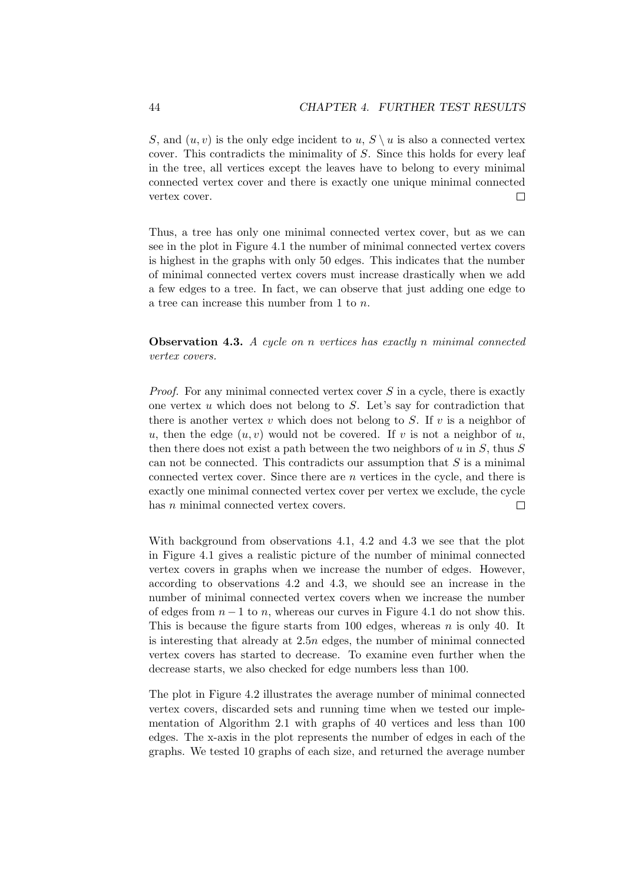S, and  $(u, v)$  is the only edge incident to  $u, S \setminus u$  is also a connected vertex cover. This contradicts the minimality of S. Since this holds for every leaf in the tree, all vertices except the leaves have to belong to every minimal connected vertex cover and there is exactly one unique minimal connected vertex cover.  $\Box$ 

Thus, a tree has only one minimal connected vertex cover, but as we can see in the plot in Figure 4.1 the number of minimal connected vertex covers is highest in the graphs with only 50 edges. This indicates that the number of minimal connected vertex covers must increase drastically when we add a few edges to a tree. In fact, we can observe that just adding one edge to a tree can increase this number from 1 to n.

Observation 4.3. A cycle on n vertices has exactly n minimal connected vertex covers.

*Proof.* For any minimal connected vertex cover S in a cycle, there is exactly one vertex  $u$  which does not belong to  $S$ . Let's say for contradiction that there is another vertex v which does not belong to S. If v is a neighbor of u, then the edge  $(u, v)$  would not be covered. If v is not a neighbor of u, then there does not exist a path between the two neighbors of  $u$  in  $S$ , thus  $S$ can not be connected. This contradicts our assumption that  $S$  is a minimal connected vertex cover. Since there are n vertices in the cycle, and there is exactly one minimal connected vertex cover per vertex we exclude, the cycle has *n* minimal connected vertex covers.  $\Box$ 

With background from observations 4.1, 4.2 and 4.3 we see that the plot in Figure 4.1 gives a realistic picture of the number of minimal connected vertex covers in graphs when we increase the number of edges. However, according to observations 4.2 and 4.3, we should see an increase in the number of minimal connected vertex covers when we increase the number of edges from  $n-1$  to n, whereas our curves in Figure 4.1 do not show this. This is because the figure starts from 100 edges, whereas  $n$  is only 40. It is interesting that already at 2.5n edges, the number of minimal connected vertex covers has started to decrease. To examine even further when the decrease starts, we also checked for edge numbers less than 100.

The plot in Figure 4.2 illustrates the average number of minimal connected vertex covers, discarded sets and running time when we tested our implementation of Algorithm 2.1 with graphs of 40 vertices and less than 100 edges. The x-axis in the plot represents the number of edges in each of the graphs. We tested 10 graphs of each size, and returned the average number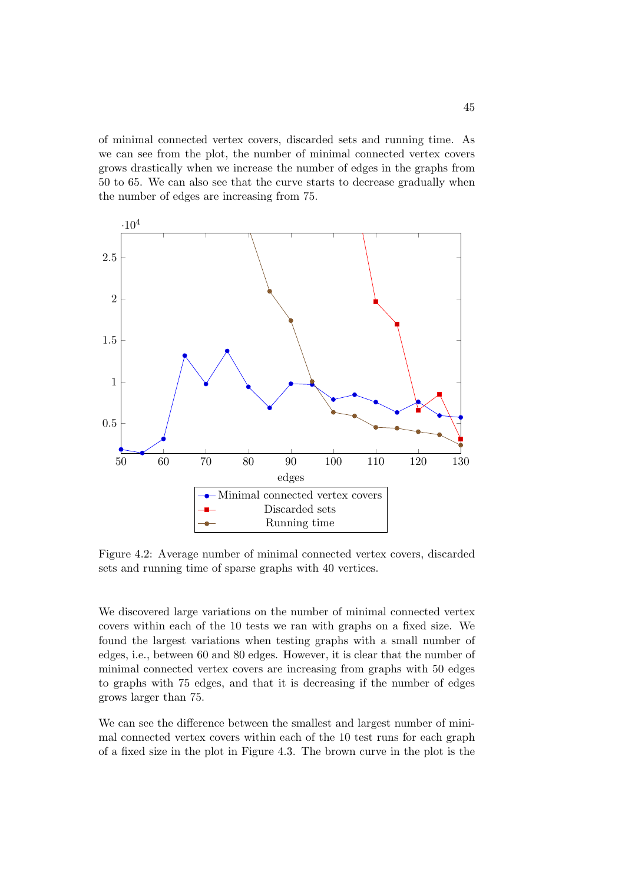of minimal connected vertex covers, discarded sets and running time. As we can see from the plot, the number of minimal connected vertex covers grows drastically when we increase the number of edges in the graphs from 50 to 65. We can also see that the curve starts to decrease gradually when the number of edges are increasing from 75.



Figure 4.2: Average number of minimal connected vertex covers, discarded sets and running time of sparse graphs with 40 vertices.

We discovered large variations on the number of minimal connected vertex covers within each of the 10 tests we ran with graphs on a fixed size. We found the largest variations when testing graphs with a small number of edges, i.e., between 60 and 80 edges. However, it is clear that the number of minimal connected vertex covers are increasing from graphs with 50 edges to graphs with 75 edges, and that it is decreasing if the number of edges grows larger than 75.

We can see the difference between the smallest and largest number of minimal connected vertex covers within each of the 10 test runs for each graph of a fixed size in the plot in Figure 4.3. The brown curve in the plot is the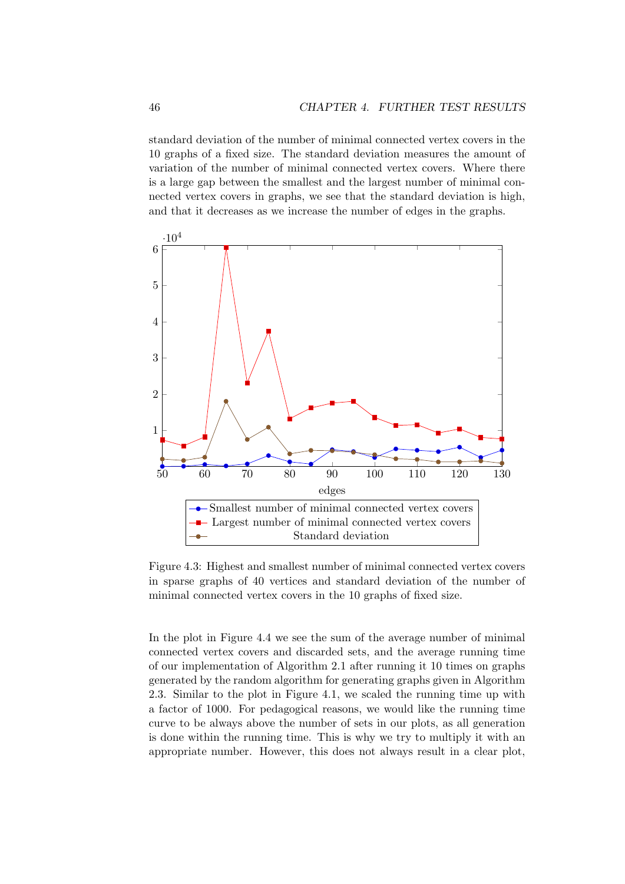standard deviation of the number of minimal connected vertex covers in the 10 graphs of a fixed size. The standard deviation measures the amount of variation of the number of minimal connected vertex covers. Where there is a large gap between the smallest and the largest number of minimal connected vertex covers in graphs, we see that the standard deviation is high, and that it decreases as we increase the number of edges in the graphs.



Figure 4.3: Highest and smallest number of minimal connected vertex covers in sparse graphs of 40 vertices and standard deviation of the number of minimal connected vertex covers in the 10 graphs of fixed size.

In the plot in Figure 4.4 we see the sum of the average number of minimal connected vertex covers and discarded sets, and the average running time of our implementation of Algorithm 2.1 after running it 10 times on graphs generated by the random algorithm for generating graphs given in Algorithm 2.3. Similar to the plot in Figure 4.1, we scaled the running time up with a factor of 1000. For pedagogical reasons, we would like the running time curve to be always above the number of sets in our plots, as all generation is done within the running time. This is why we try to multiply it with an appropriate number. However, this does not always result in a clear plot,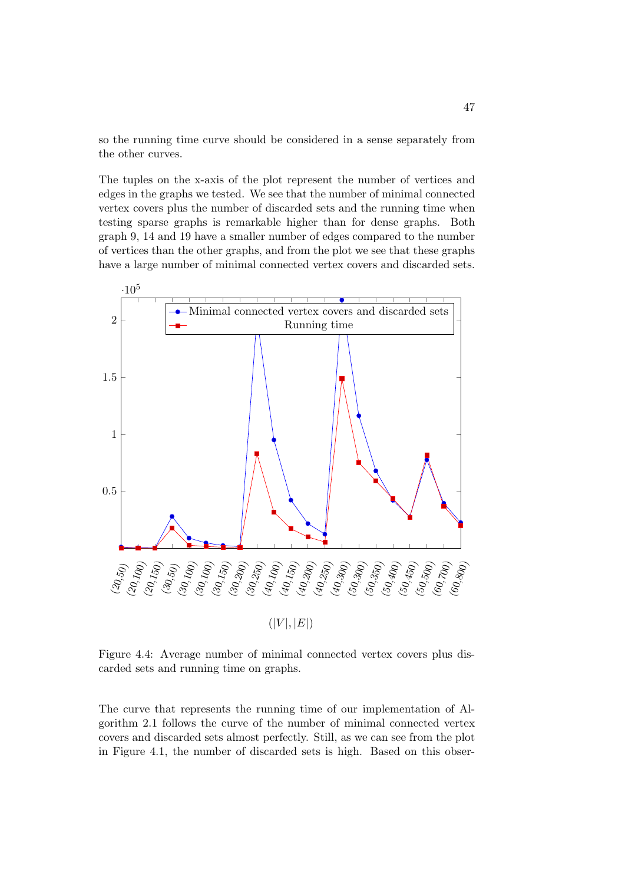so the running time curve should be considered in a sense separately from the other curves.

The tuples on the x-axis of the plot represent the number of vertices and edges in the graphs we tested. We see that the number of minimal connected vertex covers plus the number of discarded sets and the running time when testing sparse graphs is remarkable higher than for dense graphs. Both graph 9, 14 and 19 have a smaller number of edges compared to the number of vertices than the other graphs, and from the plot we see that these graphs have a large number of minimal connected vertex covers and discarded sets.



Figure 4.4: Average number of minimal connected vertex covers plus discarded sets and running time on graphs.

The curve that represents the running time of our implementation of Algorithm 2.1 follows the curve of the number of minimal connected vertex covers and discarded sets almost perfectly. Still, as we can see from the plot in Figure 4.1, the number of discarded sets is high. Based on this obser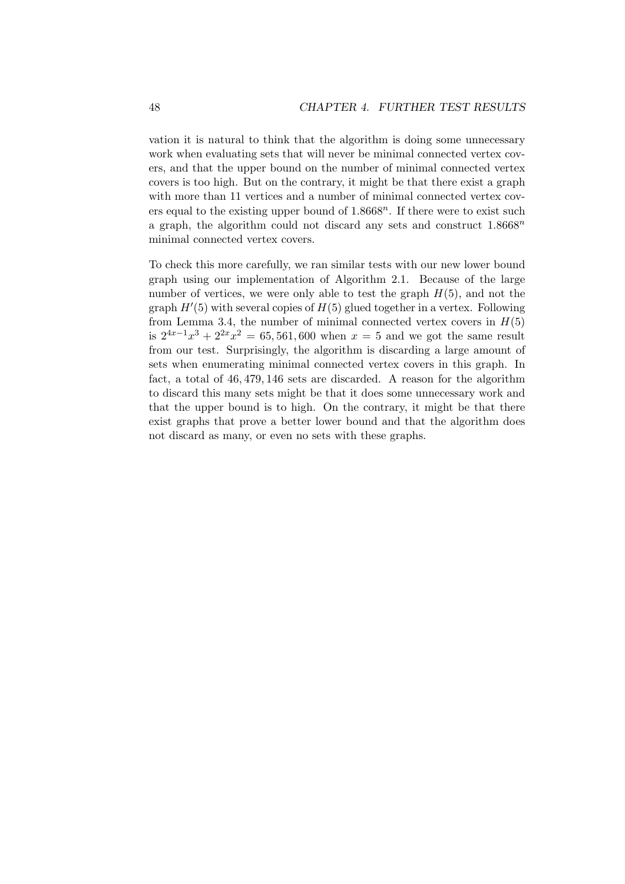vation it is natural to think that the algorithm is doing some unnecessary work when evaluating sets that will never be minimal connected vertex covers, and that the upper bound on the number of minimal connected vertex covers is too high. But on the contrary, it might be that there exist a graph with more than 11 vertices and a number of minimal connected vertex covers equal to the existing upper bound of  $1.8668<sup>n</sup>$ . If there were to exist such a graph, the algorithm could not discard any sets and construct  $1.8668^n$ minimal connected vertex covers.

To check this more carefully, we ran similar tests with our new lower bound graph using our implementation of Algorithm 2.1. Because of the large number of vertices, we were only able to test the graph  $H(5)$ , and not the graph  $H'(5)$  with several copies of  $H(5)$  glued together in a vertex. Following from Lemma 3.4, the number of minimal connected vertex covers in  $H(5)$ is  $2^{4x-1}x^3 + 2^{2x}x^2 = 65,561,600$  when  $x = 5$  and we got the same result from our test. Surprisingly, the algorithm is discarding a large amount of sets when enumerating minimal connected vertex covers in this graph. In fact, a total of 46, 479, 146 sets are discarded. A reason for the algorithm to discard this many sets might be that it does some unnecessary work and that the upper bound is to high. On the contrary, it might be that there exist graphs that prove a better lower bound and that the algorithm does not discard as many, or even no sets with these graphs.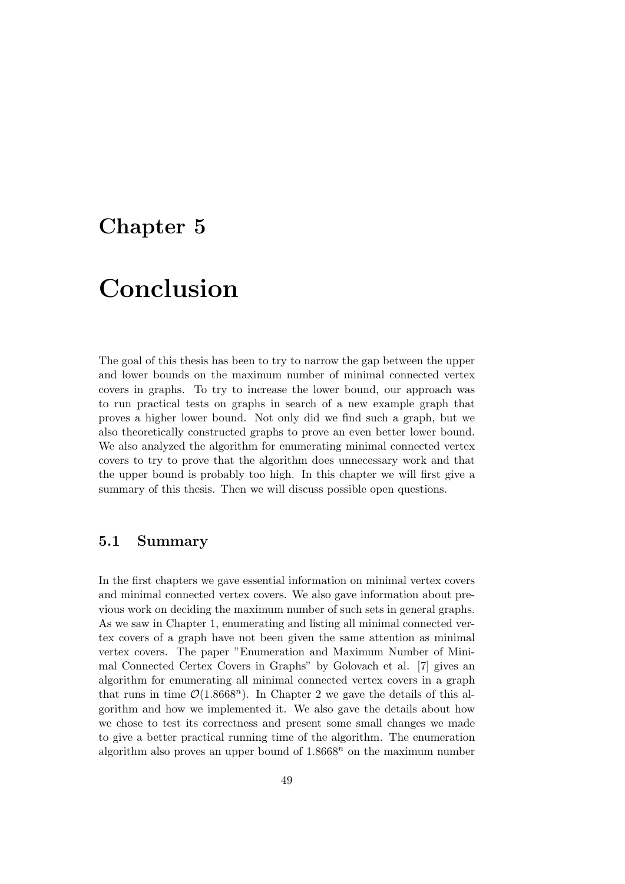### Chapter 5

# Conclusion

The goal of this thesis has been to try to narrow the gap between the upper and lower bounds on the maximum number of minimal connected vertex covers in graphs. To try to increase the lower bound, our approach was to run practical tests on graphs in search of a new example graph that proves a higher lower bound. Not only did we find such a graph, but we also theoretically constructed graphs to prove an even better lower bound. We also analyzed the algorithm for enumerating minimal connected vertex covers to try to prove that the algorithm does unnecessary work and that the upper bound is probably too high. In this chapter we will first give a summary of this thesis. Then we will discuss possible open questions.

### 5.1 Summary

In the first chapters we gave essential information on minimal vertex covers and minimal connected vertex covers. We also gave information about previous work on deciding the maximum number of such sets in general graphs. As we saw in Chapter 1, enumerating and listing all minimal connected vertex covers of a graph have not been given the same attention as minimal vertex covers. The paper "Enumeration and Maximum Number of Minimal Connected Certex Covers in Graphs" by Golovach et al. [7] gives an algorithm for enumerating all minimal connected vertex covers in a graph that runs in time  $\mathcal{O}(1.8668^n)$ . In Chapter 2 we gave the details of this algorithm and how we implemented it. We also gave the details about how we chose to test its correctness and present some small changes we made to give a better practical running time of the algorithm. The enumeration algorithm also proves an upper bound of  $1.8668<sup>n</sup>$  on the maximum number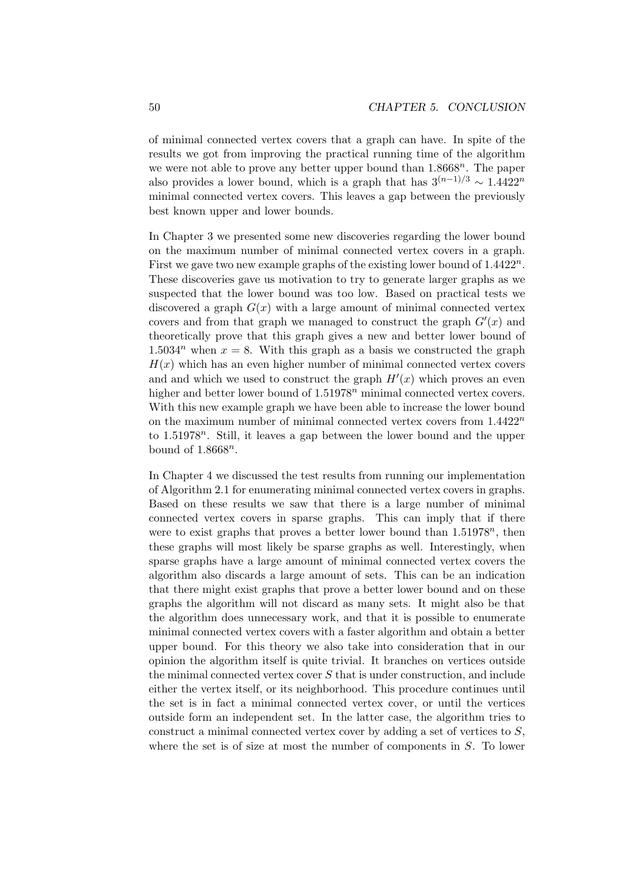of minimal connected vertex covers that a graph can have. In spite of the results we got from improving the practical running time of the algorithm we were not able to prove any better upper bound than  $1.8668^n$ . The paper also provides a lower bound, which is a graph that has  $3^{(n-1)/3} \sim 1.4422^n$ minimal connected vertex covers. This leaves a gap between the previously best known upper and lower bounds.

In Chapter 3 we presented some new discoveries regarding the lower bound on the maximum number of minimal connected vertex covers in a graph. First we gave two new example graphs of the existing lower bound of  $1.4422^n$ . These discoveries gave us motivation to try to generate larger graphs as we suspected that the lower bound was too low. Based on practical tests we discovered a graph  $G(x)$  with a large amount of minimal connected vertex covers and from that graph we managed to construct the graph  $G'(x)$  and theoretically prove that this graph gives a new and better lower bound of 1.5034<sup>n</sup> when  $x = 8$ . With this graph as a basis we constructed the graph  $H(x)$  which has an even higher number of minimal connected vertex covers and and which we used to construct the graph  $H'(x)$  which proves an even higher and better lower bound of  $1.51978<sup>n</sup>$  minimal connected vertex covers. With this new example graph we have been able to increase the lower bound on the maximum number of minimal connected vertex covers from  $1.4422^n$ to  $1.51978^n$ . Still, it leaves a gap between the lower bound and the upper bound of  $1.8668^n$ .

In Chapter 4 we discussed the test results from running our implementation of Algorithm 2.1 for enumerating minimal connected vertex covers in graphs. Based on these results we saw that there is a large number of minimal connected vertex covers in sparse graphs. This can imply that if there were to exist graphs that proves a better lower bound than  $1.51978^n$ , then these graphs will most likely be sparse graphs as well. Interestingly, when sparse graphs have a large amount of minimal connected vertex covers the algorithm also discards a large amount of sets. This can be an indication that there might exist graphs that prove a better lower bound and on these graphs the algorithm will not discard as many sets. It might also be that the algorithm does unnecessary work, and that it is possible to enumerate minimal connected vertex covers with a faster algorithm and obtain a better upper bound. For this theory we also take into consideration that in our opinion the algorithm itself is quite trivial. It branches on vertices outside the minimal connected vertex cover  $S$  that is under construction, and include either the vertex itself, or its neighborhood. This procedure continues until the set is in fact a minimal connected vertex cover, or until the vertices outside form an independent set. In the latter case, the algorithm tries to construct a minimal connected vertex cover by adding a set of vertices to S, where the set is of size at most the number of components in S. To lower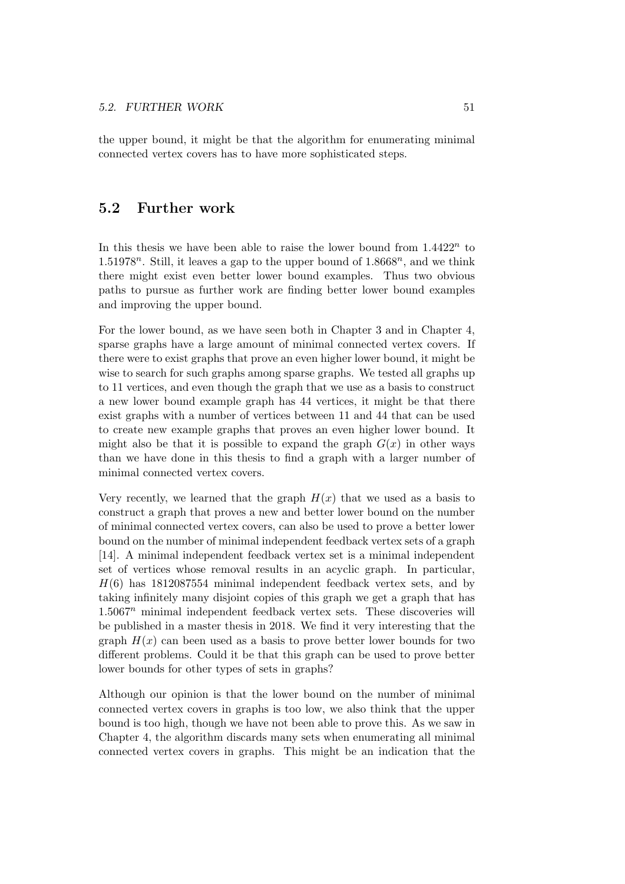the upper bound, it might be that the algorithm for enumerating minimal connected vertex covers has to have more sophisticated steps.

### 5.2 Further work

In this thesis we have been able to raise the lower bound from  $1.4422^n$  to 1.51978<sup>n</sup>. Still, it leaves a gap to the upper bound of  $1.8668^n$ , and we think there might exist even better lower bound examples. Thus two obvious paths to pursue as further work are finding better lower bound examples and improving the upper bound.

For the lower bound, as we have seen both in Chapter 3 and in Chapter 4, sparse graphs have a large amount of minimal connected vertex covers. If there were to exist graphs that prove an even higher lower bound, it might be wise to search for such graphs among sparse graphs. We tested all graphs up to 11 vertices, and even though the graph that we use as a basis to construct a new lower bound example graph has 44 vertices, it might be that there exist graphs with a number of vertices between 11 and 44 that can be used to create new example graphs that proves an even higher lower bound. It might also be that it is possible to expand the graph  $G(x)$  in other ways than we have done in this thesis to find a graph with a larger number of minimal connected vertex covers.

Very recently, we learned that the graph  $H(x)$  that we used as a basis to construct a graph that proves a new and better lower bound on the number of minimal connected vertex covers, can also be used to prove a better lower bound on the number of minimal independent feedback vertex sets of a graph [14]. A minimal independent feedback vertex set is a minimal independent set of vertices whose removal results in an acyclic graph. In particular,  $H(6)$  has 1812087554 minimal independent feedback vertex sets, and by taking infinitely many disjoint copies of this graph we get a graph that has  $1.5067<sup>n</sup>$  minimal independent feedback vertex sets. These discoveries will be published in a master thesis in 2018. We find it very interesting that the graph  $H(x)$  can been used as a basis to prove better lower bounds for two different problems. Could it be that this graph can be used to prove better lower bounds for other types of sets in graphs?

Although our opinion is that the lower bound on the number of minimal connected vertex covers in graphs is too low, we also think that the upper bound is too high, though we have not been able to prove this. As we saw in Chapter 4, the algorithm discards many sets when enumerating all minimal connected vertex covers in graphs. This might be an indication that the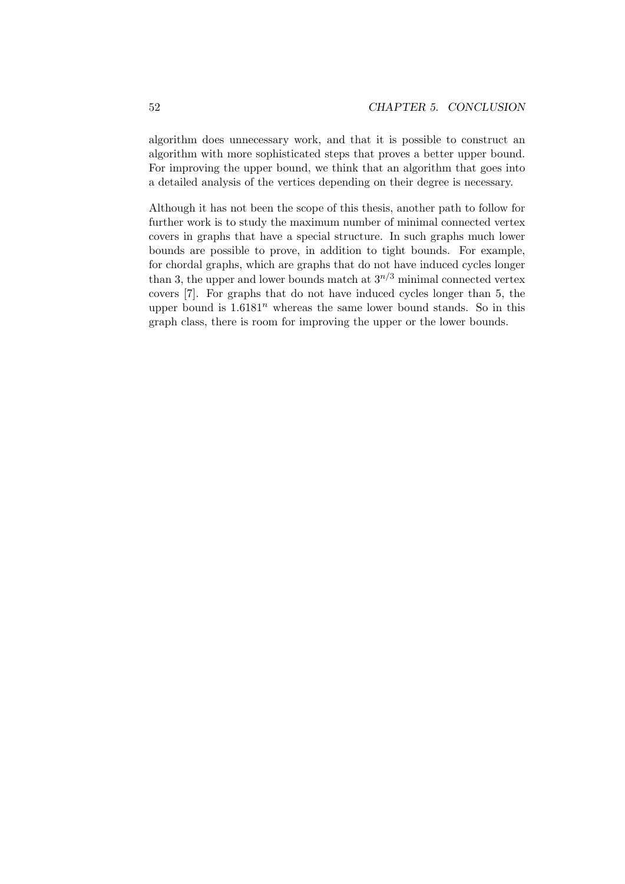algorithm does unnecessary work, and that it is possible to construct an algorithm with more sophisticated steps that proves a better upper bound. For improving the upper bound, we think that an algorithm that goes into a detailed analysis of the vertices depending on their degree is necessary.

Although it has not been the scope of this thesis, another path to follow for further work is to study the maximum number of minimal connected vertex covers in graphs that have a special structure. In such graphs much lower bounds are possible to prove, in addition to tight bounds. For example, for chordal graphs, which are graphs that do not have induced cycles longer than 3, the upper and lower bounds match at  $3^{n/3}$  minimal connected vertex covers [7]. For graphs that do not have induced cycles longer than 5, the upper bound is  $1.6181<sup>n</sup>$  whereas the same lower bound stands. So in this graph class, there is room for improving the upper or the lower bounds.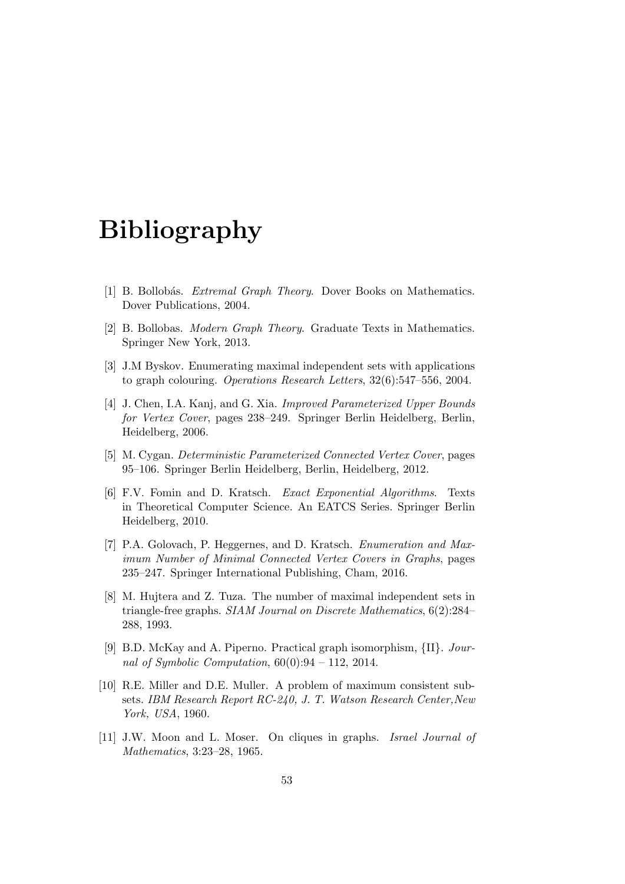## Bibliography

- [1] B. Bollobás. *Extremal Graph Theory*. Dover Books on Mathematics. Dover Publications, 2004.
- [2] B. Bollobas. Modern Graph Theory. Graduate Texts in Mathematics. Springer New York, 2013.
- [3] J.M Byskov. Enumerating maximal independent sets with applications to graph colouring. Operations Research Letters, 32(6):547–556, 2004.
- [4] J. Chen, I.A. Kanj, and G. Xia. Improved Parameterized Upper Bounds for Vertex Cover, pages 238–249. Springer Berlin Heidelberg, Berlin, Heidelberg, 2006.
- [5] M. Cygan. Deterministic Parameterized Connected Vertex Cover, pages 95–106. Springer Berlin Heidelberg, Berlin, Heidelberg, 2012.
- [6] F.V. Fomin and D. Kratsch. Exact Exponential Algorithms. Texts in Theoretical Computer Science. An EATCS Series. Springer Berlin Heidelberg, 2010.
- [7] P.A. Golovach, P. Heggernes, and D. Kratsch. Enumeration and Maximum Number of Minimal Connected Vertex Covers in Graphs, pages 235–247. Springer International Publishing, Cham, 2016.
- [8] M. Hujtera and Z. Tuza. The number of maximal independent sets in triangle-free graphs. SIAM Journal on Discrete Mathematics, 6(2):284– 288, 1993.
- [9] B.D. McKay and A. Piperno. Practical graph isomorphism, {II}. Journal of Symbolic Computation,  $60(0):94 - 112$ , 2014.
- [10] R.E. Miller and D.E. Muller. A problem of maximum consistent subsets. IBM Research Report RC-240, J. T. Watson Research Center,New York, USA, 1960.
- [11] J.W. Moon and L. Moser. On cliques in graphs. Israel Journal of Mathematics, 3:23–28, 1965.